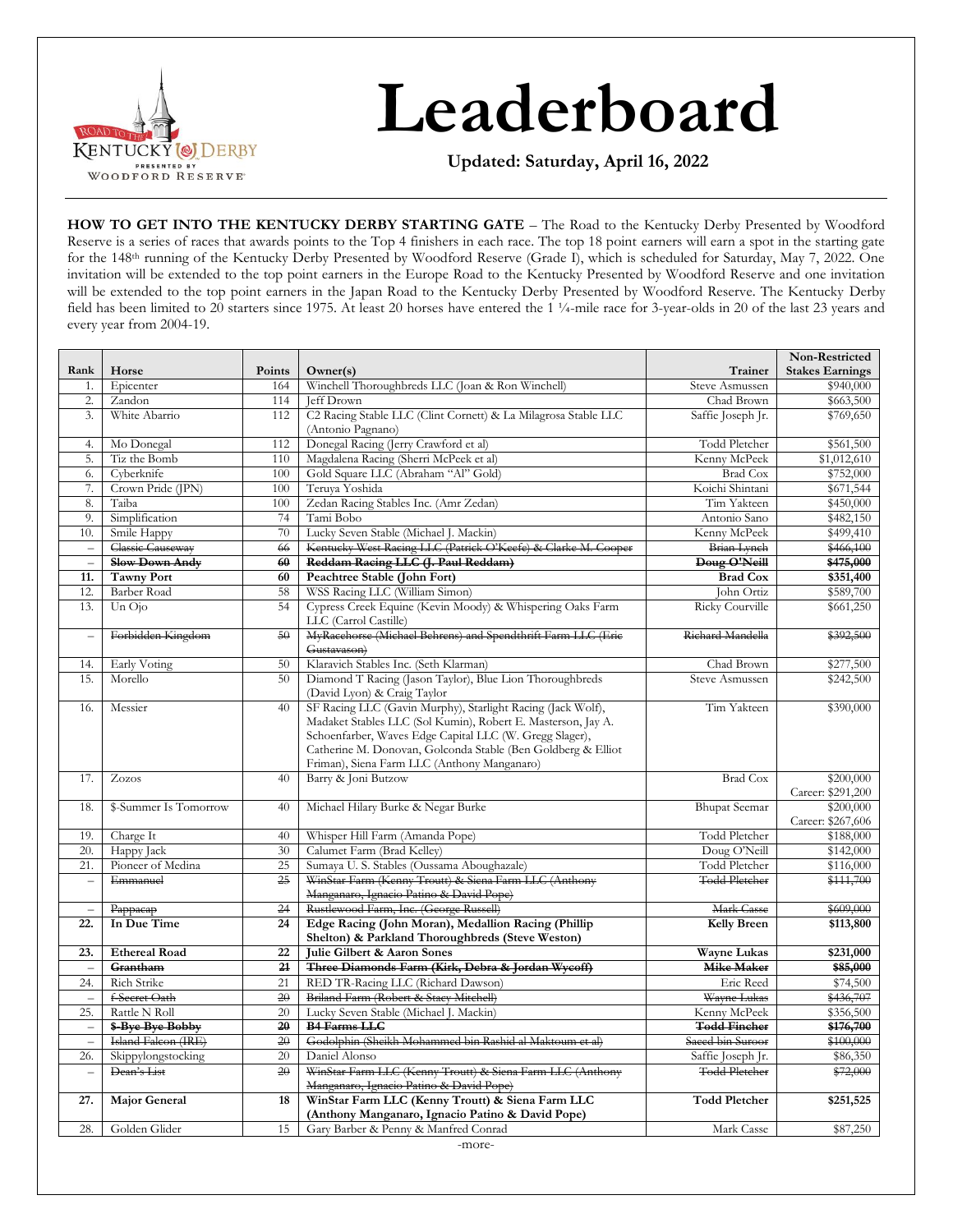

# **Leaderboard**

**Updated: Saturday, April 16, 2022**

**HOW TO GET INTO THE KENTUCKY DERBY STARTING GATE** – The Road to the Kentucky Derby Presented by Woodford Reserve is a series of races that awards points to the Top 4 finishers in each race. The top 18 point earners will earn a spot in the starting gate for the 148th running of the Kentucky Derby Presented by Woodford Reserve (Grade I), which is scheduled for Saturday, May 7, 2022. One invitation will be extended to the top point earners in the Europe Road to the Kentucky Presented by Woodford Reserve and one invitation will be extended to the top point earners in the Japan Road to the Kentucky Derby Presented by Woodford Reserve. The Kentucky Derby field has been limited to 20 starters since 1975. At least 20 horses have entered the 1 ¼-mile race for 3-year-olds in 20 of the last 23 years and every year from 2004-19.

|                          |                               |                 |                                                                                                      |                                       | Non-Restricted         |
|--------------------------|-------------------------------|-----------------|------------------------------------------------------------------------------------------------------|---------------------------------------|------------------------|
| Rank                     | Horse                         | Points          | Owner(s)                                                                                             | Trainer                               | <b>Stakes Earnings</b> |
| 1.                       | Epicenter                     | 164             | Winchell Thoroughbreds LLC (Joan & Ron Winchell)                                                     | Steve Asmussen                        | \$940,000              |
| 2.                       | Zandon                        | 114             | Jeff Drown                                                                                           | Chad Brown                            | \$663,500              |
| $\overline{3}$ .         | White Abarrio                 | 112             | C2 Racing Stable LLC (Clint Cornett) & La Milagrosa Stable LLC                                       | Saffie Joseph Jr.                     | \$769,650              |
|                          |                               |                 | (Antonio Pagnano)                                                                                    |                                       |                        |
| 4.                       | Mo Donegal                    | 112             | Donegal Racing (Jerry Crawford et al)                                                                | Todd Pletcher                         | \$561,500              |
| 5.                       | Tiz the Bomb                  | 110             | Magdalena Racing (Sherri McPeek et al)                                                               | Kenny McPeek                          | \$1,012,610            |
| 6.                       | Cyberknife                    | 100             | Gold Square LLC (Abraham "Al" Gold)                                                                  | <b>Brad Cox</b>                       | \$752,000              |
| 7.                       | Crown Pride (JPN)             | 100             | Teruva Yoshida                                                                                       | Koichi Shintani                       | \$671,544              |
| 8.                       | Taiba                         | 100             | Zedan Racing Stables Inc. (Amr Zedan)                                                                | Tim Yakteen                           | \$450,000              |
| 9.                       | Simplification                | 74              | Tami Bobo                                                                                            | Antonio Sano                          | \$482,150              |
| 10.                      | Smile Happy                   | 70              | Lucky Seven Stable (Michael J. Mackin)                                                               | Kenny McPeek                          | \$499,410              |
| $\equiv$                 | <b>Classic Causeway</b>       | 66              | Kentucky West Racing LLC (Patrick O'Keefe) & Clarke M. Cooper                                        | <b>Brian Lynch</b>                    | \$466,100              |
| $\equiv$                 | <b>Slow Down Andy</b>         | 60              | Reddam Racing LLC (J. Paul Reddam)                                                                   | Doug O'Neill                          | \$475,000              |
| 11.                      | <b>Tawny Port</b>             | 60              | Peachtree Stable (John Fort)                                                                         | <b>Brad Cox</b>                       | \$351,400              |
| 12.                      | Barber Road                   | 58              | WSS Racing LLC (William Simon)                                                                       | John Ortiz                            | \$589,700              |
| 13.                      | $Un$ $O$ <sub>i</sub> $o$     | 54              | Cypress Creek Equine (Kevin Moody) & Whispering Oaks Farm<br>LLC (Carrol Castille)                   | Ricky Courville                       | \$661,250              |
| $\equiv$                 | Forbidden Kingdom             | 50              | MyRacehorse (Michael Behrens) and Spendthrift Farm LLC (Eric<br>Gustavason)                          | Richard Mandella                      | \$392,500              |
| 14.                      | Early Voting                  | 50              | Klaravich Stables Inc. (Seth Klarman)                                                                | Chad Brown                            | \$277,500              |
| 15.                      | Morello                       | 50              | Diamond T Racing (Jason Taylor), Blue Lion Thoroughbreds                                             | Steve Asmussen                        | \$242,500              |
|                          |                               |                 | (David Lyon) & Craig Taylor                                                                          |                                       |                        |
| 16.                      | Messier                       | 40              | SF Racing LLC (Gavin Murphy), Starlight Racing (Jack Wolf),                                          | Tim Yakteen                           | \$390,000              |
|                          |                               |                 | Madaket Stables LLC (Sol Kumin), Robert E. Masterson, Jay A.                                         |                                       |                        |
|                          |                               |                 | Schoenfarber, Waves Edge Capital LLC (W. Gregg Slager),                                              |                                       |                        |
|                          |                               |                 | Catherine M. Donovan, Golconda Stable (Ben Goldberg & Elliot                                         |                                       |                        |
|                          |                               |                 | Friman), Siena Farm LLC (Anthony Manganaro)                                                          |                                       |                        |
| 17.                      | Zozos                         | 40              | Barry & Joni Butzow                                                                                  | <b>Brad Cox</b>                       | \$200,000              |
|                          |                               |                 |                                                                                                      |                                       | Career: \$291,200      |
| 18.                      | \$-Summer Is Tomorrow         | 40              | Michael Hilary Burke & Negar Burke                                                                   | <b>Bhupat Seemar</b>                  | \$200,000              |
|                          |                               |                 |                                                                                                      |                                       | Career: \$267,606      |
| 19.                      | Charge It                     | 40              | Whisper Hill Farm (Amanda Pope)                                                                      | Todd Pletcher                         | \$188,000              |
| 20.                      | Happy Jack                    | 30              | Calumet Farm (Brad Kelley)<br>Sumaya U.S. Stables (Oussama Aboughazale)                              | Doug O'Neill                          | \$142,000              |
| 21.                      | Pioneer of Medina<br>Emmanuel | 25              | WinStar Farm (Kenny Troutt) & Siena Farm LLC (Anthony                                                | Todd Pletcher<br><b>Todd Pletcher</b> | \$116,000              |
| $\qquad \qquad -$        |                               | $\overline{25}$ |                                                                                                      |                                       | \$111,700              |
|                          |                               |                 | Manganaro, Ignacio Patino & David Pope)<br>Rustlewood Farm, Inc. (George Russell)                    |                                       | \$609,000              |
| $\equiv$<br>22.          | Рарраеар<br>In Due Time       | 24<br>24        | Edge Racing (John Moran), Medallion Racing (Phillip                                                  | Mark Casse                            |                        |
|                          |                               |                 | Shelton) & Parkland Thoroughbreds (Steve Weston)                                                     | <b>Kelly Breen</b>                    | \$113,800              |
| 23.                      | <b>Ethereal Road</b>          | 22              | Julie Gilbert & Aaron Sones                                                                          | Wayne Lukas                           | \$231,000              |
| $\equiv$                 | Grantham                      | 21              | Three Diamonds Farm (Kirk, Debra & Jordan Wycoff)                                                    | Mike Maker                            | \$85,000               |
| 24.                      | Rich Strike                   | 21              | RED TR-Racing LLC (Richard Dawson)                                                                   | Eric Reed                             | \$74,500               |
| $\overline{\phantom{0}}$ | f-Secret Oath                 | 20              | Briland Farm (Robert & Stacy Mitchell)                                                               | Wayne Lukas                           | \$436,707              |
| 25.                      | Rattle N Roll                 | 20              | Lucky Seven Stable (Michael J. Mackin)                                                               | Kenny McPeek                          | \$356,500              |
| $\equiv$                 | \$-Bye Bye Bobby              | 20              | <b>B4 Farms LLC</b>                                                                                  | <b>Todd Fincher</b>                   | \$176,700              |
| $\equiv$                 | Island Falcon (IRE)           | 20              | Godolphin (Sheikh Mohammed bin Rashid al Maktoum et al)                                              | Saeed bin Suroor                      | \$100,000              |
| 26.                      | Skippylongstocking            | 20              | Daniel Alonso                                                                                        | Saffie Joseph Jr.                     | \$86,350               |
| $\qquad \qquad -$        | Dean's List                   | 20              | WinStar Farm LLC (Kenny Troutt) & Siena Farm LLC (Anthony                                            | <b>Todd Pletcher</b>                  | \$72,000               |
|                          |                               |                 | Manganaro, Ignacio Patino & David Pope)                                                              |                                       |                        |
| 27.                      | <b>Major General</b>          | 18              | WinStar Farm LLC (Kenny Troutt) & Siena Farm LLC<br>(Anthony Manganaro, Ignacio Patino & David Pope) | <b>Todd Pletcher</b>                  | \$251,525              |
| 28.                      | Golden Glider                 | 15              | Gary Barber & Penny & Manfred Conrad                                                                 | Mark Casse                            | \$87,250               |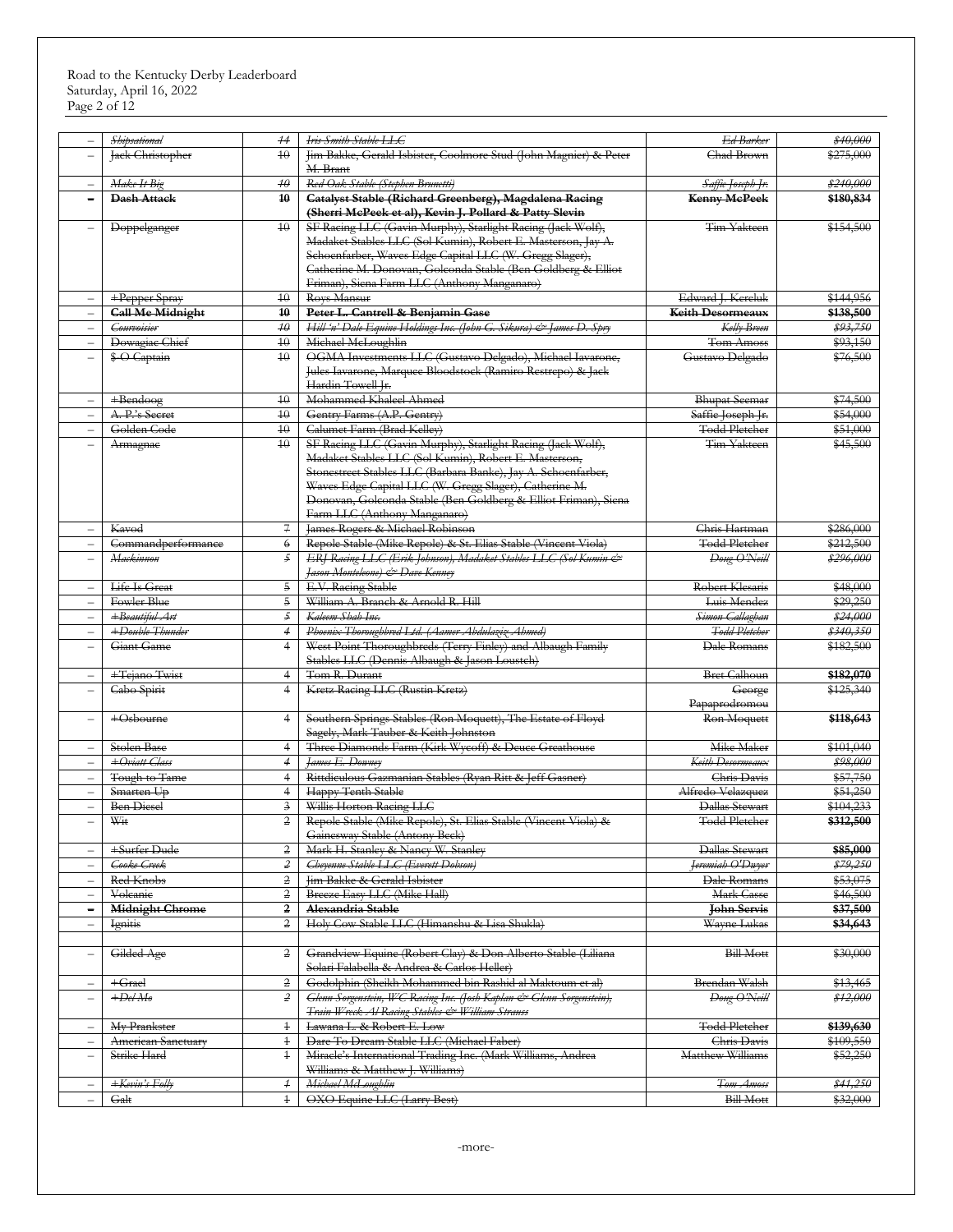|                          | <b>Shipsational</b>     | $+4$            | Iris Smith Stable LLG                                                | Ed Barker                    | \$40,000            |
|--------------------------|-------------------------|-----------------|----------------------------------------------------------------------|------------------------------|---------------------|
| $\overline{\phantom{0}}$ | Jack Christopher        | 40              | Jim Bakke, Gerald Isbister, Coolmore Stud (John Magnier) & Peter     | <b>Chad Brown</b>            | \$275,000           |
|                          |                         |                 | M. Brant                                                             |                              |                     |
| $\overline{\phantom{0}}$ | Make It Big             | $4\theta$       | Red Oak Stable (Stephen Brunetti)                                    | Saffie Joseph Jr.            | \$240,000           |
| Ē,                       | <b>Dash Attack</b>      | 40              | Catalyst Stable (Richard Greenberg), Magdalena Racing                | <b>Kenny MePeek</b>          | \$180,834           |
|                          |                         |                 | (Sherri McPeek et al), Kevin J. Pollard & Patty Slevin               |                              |                     |
| $\overline{\phantom{0}}$ | Doppelganger            | 40              | SF Racing LLC (Gavin Murphy), Starlight Racing (Jack Wolf),          | Tim Yakteen                  | \$154,500           |
|                          |                         |                 | Madaket Stables LLC (Sol Kumin), Robert E. Masterson, Jay A.         |                              |                     |
|                          |                         |                 | Schoenfarber, Waves Edge Capital LLC (W. Gregg Slager),              |                              |                     |
|                          |                         |                 | Catherine M. Donovan, Golconda Stable (Ben Goldberg & Elliot         |                              |                     |
|                          |                         |                 | Friman), Siena Farm LLC (Anthony Manganaro)                          |                              |                     |
| $\overline{\phantom{0}}$ | +Pepper Spray           | 40              | Roys Mansur                                                          | Edward J. Kereluk            | \$144,956           |
| $\qquad \qquad -$        | <b>Call Me Midnight</b> | 40              | Peter L. Cantrell & Benjamin Gase                                    | Keith Desormeaux             | \$138,500           |
| $\overline{\phantom{0}}$ | <b>Courvoisier</b>      | $4\theta$       | Hill'n' Dale Equine Holdings Inc. (John G. Sikura) & James D. Spry   | Kelly Breen                  | \$93,750            |
| $\overline{\phantom{0}}$ | Dowagiac Chief          | $40\,$          | Michael McLoughlin                                                   | Tom Amoss                    | \$93,150            |
| $\overline{\phantom{0}}$ | \$-O Captain            | $\overline{40}$ | OGMA Investments LLC (Gustavo Delgado), Michael Iavarone,            | Gustavo Delgado              | \$76,500            |
|                          |                         |                 |                                                                      |                              |                     |
|                          |                         |                 | Jules Iavarone, Marquee Bloodstock (Ramiro Restrepo) & Jack          |                              |                     |
|                          |                         |                 | Hardin Towell Jr.                                                    |                              |                     |
| $\overline{\phantom{0}}$ | $+$ Bendoog             | 40              | Mohammed Khaleel Ahmed                                               | <b>Bhupat Seemar</b>         | \$74,500            |
| $\overline{\phantom{0}}$ | A. P.'s Secret          | $4\theta$       | Gentry Farms (A.P. Gentry)                                           | Saffie Joseph Jr.            | \$54,000            |
| $\overline{\phantom{0}}$ | Golden Code             | $\overline{40}$ | Calumet Farm (Brad Kelley)                                           | <b>Todd Pletcher</b>         | \$51,000            |
| $\overline{\phantom{0}}$ | Armagnae                | 40              | SF Racing LLC (Gavin Murphy), Starlight Racing (Jack Wolf),          | Tim Yakteen                  | \$45,500            |
|                          |                         |                 | Madaket Stables LLC (Sol Kumin), Robert E. Masterson,                |                              |                     |
|                          |                         |                 | Stonestreet Stables LLC (Barbara Banke), Jay A. Schoenfarber,        |                              |                     |
|                          |                         |                 | Waves Edge Capital LLC (W. Gregg Slager), Catherine M.               |                              |                     |
|                          |                         |                 | Donovan, Golconda Stable (Ben Goldberg & Elliot Friman), Siena       |                              |                     |
|                          |                         |                 | Farm LLC (Anthony Manganaro)                                         |                              |                     |
| $\overline{\phantom{0}}$ | Kavod                   | 7               | James Rogers & Michael Robinson                                      | Chris Hartman                | \$286,000           |
|                          | Commandperformance      | $\epsilon$      | Repole Stable (Mike Repole) & St. Elias Stable (Vincent Viola)       | <b>Todd Pletcher</b>         | \$212,500           |
| $\overline{\phantom{0}}$ | <b>Mackinnon</b>        | $\mathfrak{I}$  | ERJ Racing LLC (Erik Johnson), Madaket Stables LLC (Sol Kumin &      | Doug O'Neill                 | \$296,000           |
|                          |                         |                 | Jason Monteleone) & Dave Kenney                                      |                              |                     |
| $\overline{\phantom{0}}$ | Life Is Great           | 5               | E.V. Racing Stable                                                   | Robert Klesaris              | \$48,000            |
| $\overline{\phantom{0}}$ | Fowler Blue             | $\overline{5}$  | William A. Branch & Arnold R. Hill                                   | Luis Mendez                  | \$29,250            |
| $\overline{\phantom{0}}$ | +Beautiful Art          | $\mathfrak{S}$  | Kaleem Shah Inc.                                                     | Simon Callaghan              | \$24,000            |
| $\overline{\phantom{0}}$ | +Double Thunder         | $\overline{4}$  | Phoenix Thoroughbred Ltd. (Aamer Abdulaziz Ahmed)                    | <b>Todd Pletcher</b>         | \$340,350           |
| $\overline{\phantom{0}}$ | Giant Game              | $\overline{4}$  | West Point Thoroughbreds (Terry Finley) and Albaugh Family           | Dale Romans                  | \$182,500           |
|                          |                         |                 | Stables LLC (Dennis Albaugh & Jason Loustch)                         |                              |                     |
| $\overline{\phantom{0}}$ | +Tejano Twist           | $\overline{4}$  | Tom R. Durant                                                        | <b>Bret Calhoun</b>          | \$182,070           |
| $\overline{\phantom{0}}$ |                         | $\overline{4}$  | Kretz Racing LLC (Rustin Kretz)                                      |                              | \$125,340           |
|                          | Cabo Spirit             |                 |                                                                      | George                       |                     |
| $\overline{\phantom{0}}$ | +Osbourne               | $\overline{4}$  | Southern Springs Stables (Ron Moquett), The Estate of Floyd          | Papaprodromou<br>Ron Moquett | \$118,643           |
|                          |                         |                 | Sagely, Mark Tauber & Keith Johnston                                 |                              |                     |
|                          |                         |                 | Three Diamonds Farm (Kirk Wycoff) & Deuce Greathouse                 | Mike Maker                   | \$101,040           |
| $\overline{\phantom{0}}$ | Stolen Base             | $\overline{4}$  |                                                                      |                              |                     |
|                          | +Oviatt Class           | $\overline{4}$  | James E. Downey                                                      | Keith Desormeaux             | \$98,000            |
| $\qquad \qquad -$        | Tough to Tame           | $\overline{4}$  | Rittdiculous Gazmanian Stables (Ryan Ritt & Jeff Gasner)             | Chris Davis                  | \$57,750            |
| $\qquad \qquad -$        | Smarten Up              | $\overline{4}$  | Happy Tenth Stable                                                   | Alfredo Velazquez            | \$51,250            |
| $\overline{\phantom{a}}$ | <b>Ben</b> Diesel       | $\frac{3}{2}$   | Willis Horton Racing LLC                                             | Dallas Stewart               | \$104,233           |
|                          | Wit                     | $\overline{2}$  | Repole Stable (Mike Repole), St. Elias Stable (Vincent Viola) &      | <b>Todd Pletcher</b>         | \$312,500           |
|                          |                         |                 | Gainesway Stable (Antony Beck)                                       |                              |                     |
|                          | +Surfer Dude            | $\overline{2}$  | Mark H. Stanley & Nancy W. Stanley                                   | Dallas Stewart               | \$85,000            |
| $\overline{\phantom{0}}$ | Cooke Creek             | $\overline{z}$  | Cheyenne Stable LLC (Everett Dobson)                                 | Jeremiah O'Duyer             | \$79,250            |
|                          | Red Knobs               | $\overline{2}$  | Jim Bakke & Gerald Isbister                                          | Dale Romans                  | \$53,075            |
| $\overline{\phantom{0}}$ | Volcanie                | $\overline{2}$  | Breeze Easy LLC (Mike Hall)                                          | Mark Casse                   | \$46,500            |
| $\overline{\phantom{0}}$ | <b>Midnight Chrome</b>  | $\mathbf{2}$    | Alexandria Stable                                                    | <del>John Servis</del>       | \$37,500            |
|                          | <i><u>Ignitis</u></i>   | $\overline{2}$  | Holy Cow Stable LLC (Himanshu & Lisa Shukla)                         | Wayne Lukas                  | \$34,643            |
|                          |                         |                 |                                                                      |                              |                     |
| $\qquad \qquad -$        | Gilded Age              | 2               | Grandview Equine (Robert Clay) & Don Alberto Stable (Liliana         | <b>Bill Mott</b>             | \$30,000            |
|                          |                         |                 | Solari Falabella & Andrea & Carlos Heller)                           |                              |                     |
| $\overline{\phantom{0}}$ | $+$ Grael               | 2               | Godolphin (Sheikh Mohammed bin Rashid al Maktoum et al)              | Brendan Walsh                | \$13,465            |
| $\overline{\phantom{0}}$ | $+De/M\theta$           | $\overline{z}$  | Glenn Sorgenstein, WC Racing Inc. (Josh Kaplan & Glenn Sorgenstein), | Doug O'Neill                 | \$12,000            |
|                          |                         |                 | Train Wreck Al Racing Stables & William Strauss                      |                              |                     |
|                          |                         |                 |                                                                      |                              |                     |
| $\overline{\phantom{m}}$ | My Prankster            | $^{+}$          | Lawana L. & Robert E. Low                                            | <b>Todd Pletcher</b>         | \$139,630           |
| $\overline{\phantom{0}}$ | American Sanctuary      | $\ddagger$      | Dare To Dream Stable LLC (Michael Faber)                             | Chris Davis                  | \$109,550           |
| $\qquad \qquad -$        | Strike Hard             | $\ddagger$      | Miracle's International Trading Inc. (Mark Williams, Andrea          | Matthew Williams             | \$52,250            |
|                          |                         |                 | Williams & Matthew J. Williams)                                      |                              |                     |
| $\overline{\phantom{0}}$ | +Kevin's Folly          | $\overline{+}$  | Michael McLoughlin                                                   | <del>Tom Amoss</del>         | <del>\$41,250</del> |
| $\overline{\phantom{0}}$ | Galt                    | $\ddagger$      | OXO Equine LLC (Larry Best)                                          | <b>Bill Mott</b>             | \$32,000            |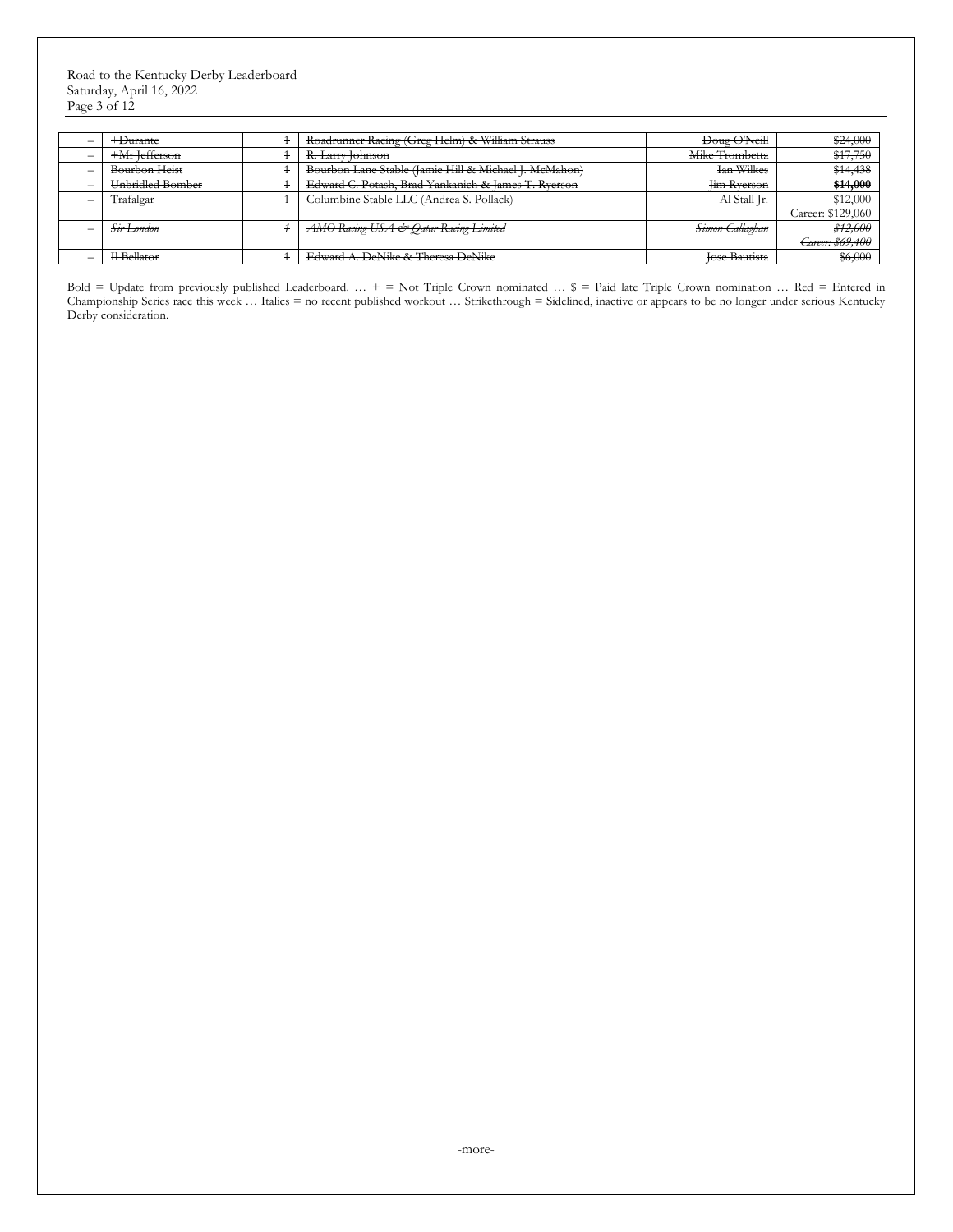Road to the Kentucky Derby Leaderboard Saturday, April 16, 2022 Page 3 of 12

| +Durante                | Roadrunner Racing (Greg Helm) & William Strauss       | Doug O'Neill               | \$24,000          |
|-------------------------|-------------------------------------------------------|----------------------------|-------------------|
| $+Mr$ lefferson         | R. Larry Johnson                                      | Mike Trombetta             | \$17,750          |
| Bourbon Heist           | Bourbon Lane Stable (Jamie Hill & Michael J. McMahon) | <b>Ian Wilkes</b>          | \$14,438          |
| Unbridled Bomber        | Edward C. Potash, Brad Yankanich & James T. Ryerson   | <b>Im Rverson</b>          | \$14,000          |
| Trafalgar               | Columbine Stable LLC (Andrea S. Pollack)              | Al-Stall Ir.               | \$12,000          |
|                         |                                                       |                            | Career: \$129,060 |
| Sir London              | AMO Racing USA & Qatar Racing Limited                 | <del>Simon Callaghan</del> | \$12,000          |
|                         |                                                       |                            | Career: \$69,400  |
| I <del>l</del> Bellator | Edward A. DeNike & Theresa DeNike                     | <b>Jose Bautista</b>       | \$6,000           |

Bold = Update from previously published Leaderboard. … + = Not Triple Crown nominated … \$ = Paid late Triple Crown nomination … Red = Entered in Championship Series race this week … Italics = no recent published workout … Strikethrough = Sidelined, inactive or appears to be no longer under serious Kentucky Derby consideration.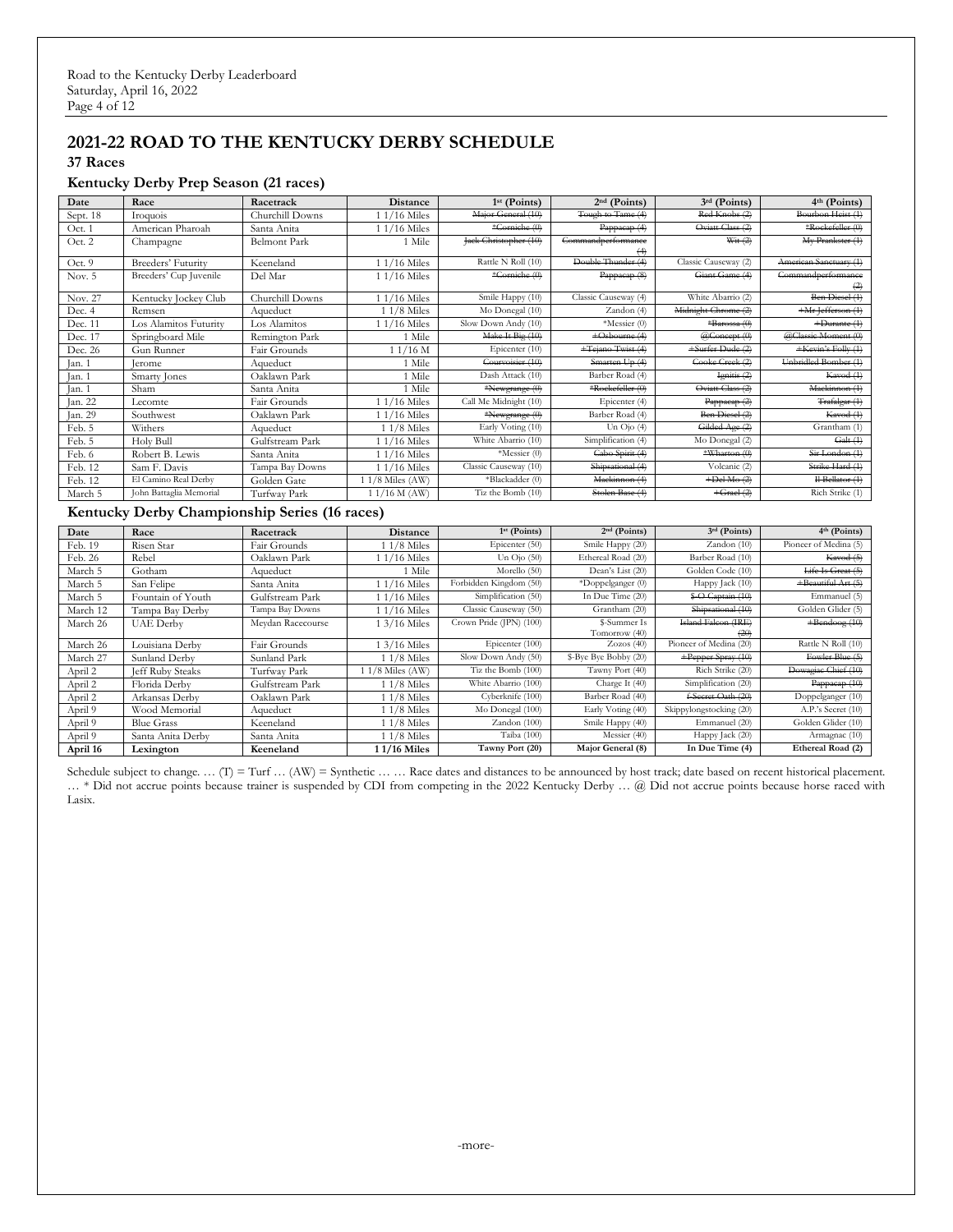# **2021-22 ROAD TO THE KENTUCKY DERBY SCHEDULE**

**37 Races**

#### **Kentucky Derby Prep Season (21 races)**

| Date     | Race                    | Racetrack           | <b>Distance</b>   | $1st$ (Points)        | $2nd$ (Points)                        | $3rd$ (Points)       | $4th$ (Points)                          |
|----------|-------------------------|---------------------|-------------------|-----------------------|---------------------------------------|----------------------|-----------------------------------------|
| Sept. 18 | Iroquois                | Churchill Downs     | $1/16$ Miles      | Major General (10)    | Tough to Tame (4)                     | Red Knobs (2)        | Bourbon Heist (1)                       |
| Oct. 1   | American Pharoah        | Santa Anita         | 1 1/16 Miles      | *Corniche (0)         | Pappacap (4)                          | Oviatt Class (2)     | *Rockefeller (0)                        |
| Oct. 2   | Champagne               | <b>Belmont Park</b> | 1 Mile            | Jack Christopher (10) | <b>Commandperformance</b><br>$^{(4)}$ | Wit $(2)$            | My Prankster (1)                        |
| Oct. 9   | Breeders' Futurity      | Keeneland           | 1 1/16 Miles      | Rattle N Roll (10)    | Double Thunder (4)                    | Classic Causeway (2) | American Sanctuary (1)                  |
| Nov. $5$ | Breeders' Cup Juvenile  | Del Mar             | $11/16$ Miles     | *Corniche (0)         | Pappacap (8)                          | Giant Game (4)       | Commandperformance<br>$\leftrightarrow$ |
| Nov. 27  | Kentucky Jockey Club    | Churchill Downs     | 1 1/16 Miles      | Smile Happy (10)      | Classic Causeway (4)                  | White Abarrio (2)    | Ben Diesel (1)                          |
| Dec. 4   | Remsen                  | Aqueduct            | 1 1/8 Miles       | Mo Donegal (10)       | Zandon(4)                             | Midnight Chrome (2)  | +Mr Jefferson (1)                       |
| Dec. 11  | Los Alamitos Futurity   | Los Alamitos        | 1 1/16 Miles      | Slow Down Andy (10)   | *Messier (0)                          | *Barossa (0)         | $+$ Durante $(1)$                       |
| Dec. 17  | Springboard Mile        | Remington Park      | 1 Mile            | Make It Big (10)      | +Osbourne (4)                         | @Concept (0)         | @Classic Moment (0)                     |
| Dec. 26  | Gun Runner              | Fair Grounds        | $11/16$ M         | Epicenter (10)        | +Tejano Twist (4)                     | +Surfer Dude (2)     | +Kevin's Folly (1)                      |
| Jan. 1   | lerome                  | Aqueduct            | 1 Mile            | Courvoisier (10)      | Smarten Up (4)                        | Cooke Creek (2)      | Unbridled Bomber (1)                    |
| Jan. 1   | Smarty Jones            | Oaklawn Park        | 1 Mile            | Dash Attack (10)      | Barber Road (4)                       | Ignitis (2)          | Kavod (1)                               |
| Jan. 1   | Sham                    | Santa Anita         | 1 Mile            | *Newgrange (0)        | *Rockefeller (0)                      | Oviatt Class (2)     | Mackinnon (1)                           |
| Jan. 22  | Lecomte                 | Fair Grounds        | $1/16$ Miles      | Call Me Midnight (10) | Epicenter (4)                         | Pappacap(2)          | Trafalgar (1)                           |
| Jan. 29  | Southwest               | Oaklawn Park        | 1 1/16 Miles      | *Newgrange (0)        | Barber Road (4)                       | Ben Diesel (2)       | Kavod (1)                               |
| Feb. 5   | Withers                 | Aqueduct            | $11/8$ Miles      | Early Voting (10)     | Un $O$ jo $(4)$                       | Gilded Age (2)       | Grantham (1)                            |
| Feb. 5   | Holy Bull               | Gulfstream Park     | $1/16$ Miles      | White Abarrio (10)    | Simplification (4)                    | Mo Donegal (2)       | Galt(4)                                 |
| Feb. 6   | Robert B. Lewis         | Santa Anita         | $1/16$ Miles      | *Messier (0)          | Cabo Spirit (4)                       | *Wharton $(0)$       | Sir London (1)                          |
| Feb. 12  | Sam F. Davis            | Tampa Bay Downs     | 1 1/16 Miles      | Classic Causeway (10) | Shipsational (4)                      | Volcanic (2)         | Strike Hard (1)                         |
| Feb. 12  | El Camino Real Derby    | Golden Gate         | $11/8$ Miles (AW) | *Blackadder (0)       | Mackinnon (4)                         | $+$ Del-Mo $(2)$     | Il Bellator (1)                         |
| March 5  | John Battaglia Memorial | Turfway Park        | $11/16$ M (AW)    | Tiz the Bomb (10)     | Stolen Base (4)                       | $+$ Grael $(2)$      | Rich Strike (1)                         |

#### **Kentucky Derby Championship Series (16 races)**

| Date     | Race                    | Racetrack         | <b>Distance</b> | $1st$ (Points)          | $2nd$ (Points)        | $3rd$ (Points)          | $4th$ (Points)        |
|----------|-------------------------|-------------------|-----------------|-------------------------|-----------------------|-------------------------|-----------------------|
| Feb. 19  | Risen Star              | Fair Grounds      | 1 1/8 Miles     | Epicenter (50)          | Smile Happy (20)      | Zandon (10)             | Pioneer of Medina (5) |
| Feb. 26  | Rebel                   | Oaklawn Park      | $1/16$ Miles    | Un $O$ jo $(50)$        | Ethereal Road (20)    | Barber Road (10)        | Kavod (5)             |
| March 5  | Gotham                  | Aqueduct          | 1 Mile          | Morello $(50)$          | Dean's List (20)      | Golden Code (10)        | Life Is Great (5)     |
| March 5  | San Felipe              | Santa Anita       | $1/16$ Miles    | Forbidden Kingdom (50)  | *Doppelganger (0)     | Happy Jack (10)         | +Beautiful Art (5)    |
| March 5  | Fountain of Youth       | Gulfstream Park   | $1/16$ Miles    | Simplification (50)     | In Due Time (20)      | \$-O Captain (10)       | Emmanuel (5)          |
| March 12 | Tampa Bay Derby         | Tampa Bay Downs   | 1/16 Miles      | Classic Causeway (50)   | Grantham (20)         | Shipsational (10)       | Golden Glider (5)     |
| March 26 | <b>UAE</b> Derby        | Meydan Racecourse | 1 3/16 Miles    | Crown Pride (JPN) (100) | \$-Summer Is          | Island Falcon (IRE)     | $+$ Bendoog $(10)$    |
|          |                         |                   |                 |                         | Tomorrow (40)         | (20)                    |                       |
| March 26 | Louisiana Derby         | Fair Grounds      | 1 3/16 Miles    | Epicenter (100)         | Zozos(40)             | Pioneer of Medina (20)  | Rattle N Roll (10)    |
| March 27 | Sunland Derby           | Sunland Park      | $11/8$ Miles    | Slow Down Andy (50)     | \$-Bye Bye Bobby (20) | +Pepper Spray (10)      | Fowler Blue (5)       |
| April 2  | <b>Jeff Ruby Steaks</b> | Turfway Park      | 11/8 Miles (AW) | Tiz the Bomb (100)      | Tawny Port (40)       | Rich Strike (20)        | Dowagiac Chief (10)   |
| April 2  | Florida Derby           | Gulfstream Park   | $11/8$ Miles    | White Abarrio (100)     | Charge It (40)        | Simplification (20)     | Pappaeap (10)         |
| April 2  | Arkansas Derby          | Oaklawn Park      | $11/8$ Miles    | Cyberknife (100)        | Barber Road (40)      | f-Secret Oath (20)      | Doppelganger (10)     |
| April 9  | Wood Memorial           | Aqueduct          | 1 1/8 Miles     | Mo Donegal (100)        | Early Voting (40)     | Skippylongstocking (20) | A.P.'s Secret (10)    |
| April 9  | <b>Blue Grass</b>       | Keeneland         | $11/8$ Miles    | Zandon (100)            | Smile Happy (40)      | Emmanuel (20)           | Golden Glider (10)    |
| April 9  | Santa Anita Derby       | Santa Anita       | $11/8$ Miles    | Taiba (100)             | Messier (40)          | Happy Jack (20)         | Armagnac (10)         |
| April 16 | Lexington               | Keeneland         | 11/16 Miles     | Tawny Port (20)         | Major General (8)     | In Due Time (4)         | Ethereal Road (2)     |

Schedule subject to change. ... (I) = Turf ... (AW) = Synthetic ... ... Race dates and distances to be announced by host track; date based on recent historical placement. … \* Did not accrue points because trainer is suspended by CDI from competing in the 2022 Kentucky Derby … @ Did not accrue points because horse raced with Lasix.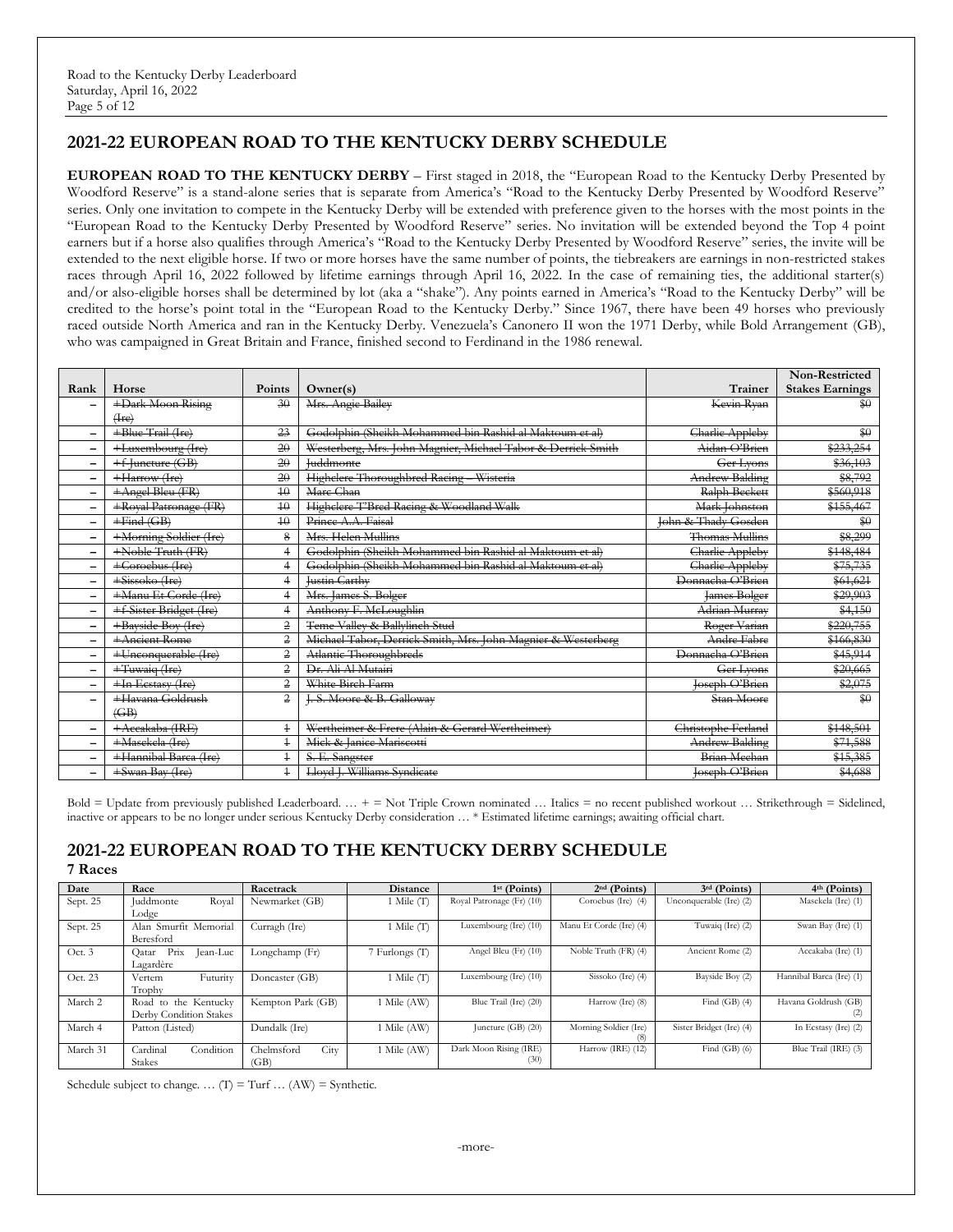# **2021-22 EUROPEAN ROAD TO THE KENTUCKY DERBY SCHEDULE**

**EUROPEAN ROAD TO THE KENTUCKY DERBY** – First staged in 2018, the "European Road to the Kentucky Derby Presented by Woodford Reserve" is a stand-alone series that is separate from America's "Road to the Kentucky Derby Presented by Woodford Reserve" series. Only one invitation to compete in the Kentucky Derby will be extended with preference given to the horses with the most points in the "European Road to the Kentucky Derby Presented by Woodford Reserve" series. No invitation will be extended beyond the Top 4 point earners but if a horse also qualifies through America's "Road to the Kentucky Derby Presented by Woodford Reserve" series, the invite will be extended to the next eligible horse. If two or more horses have the same number of points, the tiebreakers are earnings in non-restricted stakes races through April 16, 2022 followed by lifetime earnings through April 16, 2022. In the case of remaining ties, the additional starter(s) and/or also-eligible horses shall be determined by lot (aka a "shake"). Any points earned in America's "Road to the Kentucky Derby" will be credited to the horse's point total in the "European Road to the Kentucky Derby." Since 1967, there have been 49 horses who previously raced outside North America and ran in the Kentucky Derby. Venezuela's Canonero II won the 1971 Derby, while Bold Arrangement (GB), who was campaigned in Great Britain and France, finished second to Ferdinand in the 1986 renewal.

|      |                         |                |                                                              |                       | <b>Non-Restricted</b>  |
|------|-------------------------|----------------|--------------------------------------------------------------|-----------------------|------------------------|
| Rank | Horse                   | <b>Points</b>  | Owner(s)                                                     | <b>Trainer</b>        | <b>Stakes Earnings</b> |
| -    | +Dark Moon Rising       | 30             | Mrs. Angie Bailey                                            | Kevin Ryan            | $\frac{60}{20}$        |
|      | $($ fre $)$             |                |                                                              |                       |                        |
|      | +Blue Trail (Ire)       | 23             | Godolphin (Sheikh Mohammed bin Rashid al Maktoum et al)      | Charlie Appleby       | \$0                    |
| -    | +Luxembourg (Ire)       | 20             | Westerberg, Mrs. John Magnier, Michael Tabor & Derrick Smith | Aidan O'Brien         | \$233,254              |
| -    | +f-Juncture (GB)        | 20             | <b>Iuddmonte</b>                                             | Ger Lyons             | \$36,103               |
|      | +Harrow (Ire)           | 20             | Highclere Thoroughbred Racing - Wisteria                     | <b>Andrew Balding</b> | \$8,792                |
| -    | +Angel Bleu (FR)        | 40             | Mare Chan                                                    | Ralph Beckett         | \$560,918              |
| -    | +Royal Patronage (FR)   | 40             | Highelere T'Bred Racing & Woodland Walk                      | Mark Johnston         | \$155,467              |
| -    | $+Find(GB)$             | 40             | Prince A.A. Faisal                                           | John & Thady Gosden   | $\frac{1}{20}$         |
| -    | +Morning Soldier (Ire)  | 8              | Mrs. Helen Mullins                                           | <b>Thomas Mullins</b> | \$8,299                |
| -    | +Noble Truth (FR)       |                | Godolphin (Sheikh Mohammed bin Rashid al Maktoum et al)      | Charlie Appleby       | \$148,484              |
|      | +Coroebus (Ire)         |                | Godolphin (Sheikh Mohammed bin Rashid al Maktoum et al)      | Charlie Appleby       | \$75,735               |
| —    | +Sissoko (Ire)          |                | Justin Carthy                                                | Donnacha O'Brien      | \$61,621               |
| -    | +Manu Et Corde (Ire)    |                | Mrs. James S. Bolger                                         | <b>James Bolger</b>   | \$29,903               |
| -    | +f-Sister Bridget (Ire) |                | Anthony F. McLoughlin                                        | Adrian Murray         | \$4,150                |
| -    | +Bayside Boy (Ire)      | $\overline{2}$ | Teme Valley & Ballylinch Stud                                | Roger Varian          | \$220,755              |
| -    | +Ancient Rome           | 2              | Michael Tabor, Derrick Smith, Mrs. John Magnier & Westerberg | Andre Fabre           | \$166,830              |
|      | +Unconquerable (Ire)    | $\overline{2}$ | Atlantic Thoroughbreds                                       | Donnacha O'Brien      | \$45,914               |
| —    | +Tuwaiq (Ire)           | 2              | Dr. Ali Al Mutairi                                           | Ger Lyons             | \$20,665               |
| -    | +In Ecstasy (Ire)       | 2              | White Birch Farm                                             | loseph O'Brien        | \$2,075                |
|      | +Havana Goldrush        | 2              | <b>J. S. Moore &amp; B. Galloway</b>                         | Stan Moore            | \$0                    |
|      | $\langle GB\rangle$     |                |                                                              |                       |                        |
| -    | +Accakaba (IRE)         | $\ddagger$     | Wertheimer & Frere (Alain & Gerard Wertheimer)               | Christophe Ferland    | \$148,501              |
| -    | +Masekela (Ire)         | $\ddagger$     | Mick & Janice Mariscotti                                     | Andrew Balding        | \$71,588               |
|      | +Hannibal Barca (Ire)   | $\ddagger$     | S. E. Sangster                                               | Brian Meehan          | \$15,385               |
|      | +Swan Bay (Ire)         |                | Lloyd J. Williams Syndicate                                  | Joseph O'Brien        | \$4,688                |

Bold = Update from previously published Leaderboard. … + = Not Triple Crown nominated … Italics = no recent published workout … Strikethrough = Sidelined, inactive or appears to be no longer under serious Kentucky Derby consideration … \* Estimated lifetime earnings; awaiting official chart.

#### **2021-22 EUROPEAN ROAD TO THE KENTUCKY DERBY SCHEDULE 7 Races**

| Date     | Race                       | Racetrack          | Distance       | $1st$ (Points)            | $2nd$ (Points)          | $3rd$ (Points)           | 4th (Points)             |
|----------|----------------------------|--------------------|----------------|---------------------------|-------------------------|--------------------------|--------------------------|
| Sept. 25 | <b>Iuddmonte</b><br>Royal  | Newmarket (GB)     | 1 Mile (T)     | Royal Patronage (Fr) (10) | Coroebus (Ire) (4)      | Unconquerable (Ire) (2)  | Masekela (Ire) (1)       |
|          | Lodge                      |                    |                |                           |                         |                          |                          |
| Sept. 25 | Smurfit Memorial<br>Alan   | Curragh (Ire)      | 1 Mile (T)     | Luxembourg (Ire) (10)     | Manu Et Corde (Ire) (4) | Tuwaiq (Ire) (2)         | Swan Bay (Ire) (1)       |
|          | Beresford                  |                    |                |                           |                         |                          |                          |
| Oct. 3   | Prix<br>Jean-Luc<br>Oatar  | Longchamp (Fr)     | 7 Furlongs (T) | Angel Bleu (Fr) (10)      | Noble Truth (FR) (4)    | Ancient Rome (2)         | Accakaba (Ire) (1)       |
|          | Lagardère                  |                    |                |                           |                         |                          |                          |
| Oct. 23  | Futurity<br>Vertem         | Doncaster (GB)     | Mile (T        | Luxembourg (Ire) (10)     | Sissoko (Ire) (4)       | Bayside Boy (2)          | Hannibal Barca (Ire) (1) |
|          | Trophy                     |                    |                |                           |                         |                          |                          |
| March 2  | Road<br>the Kentucky<br>to | Kempton Park (GB)  | 1 Mile (AW)    | Blue Trail (Ire) (20)     | Harrow (Ire) (8)        | Find $(GB)$ $(4)$        | Havana Goldrush (GB)     |
|          | Derby Condition Stakes     |                    |                |                           |                         |                          |                          |
| March 4  | Patton (Listed)            | Dundalk (Ire)      | 1 Mile (AW)    | Juncture $(GB)$ $(20)$    | Morning Soldier (Ire)   | Sister Bridget (Ire) (4) | In Ecstasy (Ire) $(2)$   |
|          |                            |                    |                |                           |                         |                          |                          |
| March 31 | Condition<br>Cardinal      | City<br>Chelmsford | 1 Mile (AW)    | Dark Moon Rising (IRE)    | Harrow (IRE) (12)       | Find $(GB)$ $(6)$        | Blue Trail (IRE) (3)     |
|          | <b>Stakes</b>              | (GB)               |                | (30)                      |                         |                          |                          |

Schedule subject to change. ...  $(T) = Turf ... (AW) = Synthetic$ .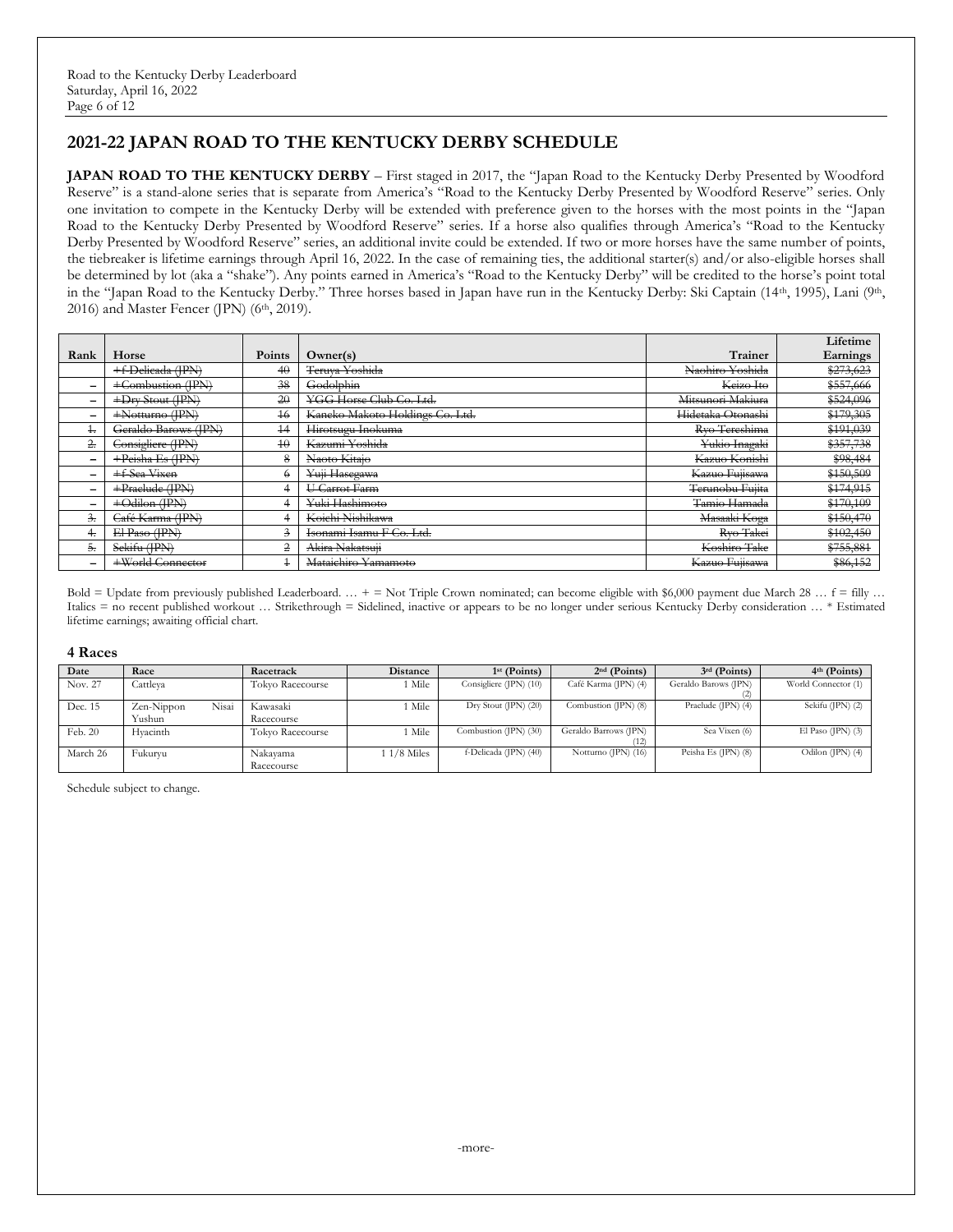# **2021-22 JAPAN ROAD TO THE KENTUCKY DERBY SCHEDULE**

**JAPAN ROAD TO THE KENTUCKY DERBY** – First staged in 2017, the "Japan Road to the Kentucky Derby Presented by Woodford Reserve" is a stand-alone series that is separate from America's "Road to the Kentucky Derby Presented by Woodford Reserve" series. Only one invitation to compete in the Kentucky Derby will be extended with preference given to the horses with the most points in the "Japan Road to the Kentucky Derby Presented by Woodford Reserve" series. If a horse also qualifies through America's "Road to the Kentucky Derby Presented by Woodford Reserve" series, an additional invite could be extended. If two or more horses have the same number of points, the tiebreaker is lifetime earnings through April 16, 2022. In the case of remaining ties, the additional starter(s) and/or also-eligible horses shall be determined by lot (aka a "shake"). Any points earned in America's "Road to the Kentucky Derby" will be credited to the horse's point total in the "Japan Road to the Kentucky Derby." Three horses based in Japan have run in the Kentucky Derby: Ski Captain (14th, 1995), Lani (9th, 2016) and Master Fencer (JPN) (6<sup>th</sup>, 2019).

|               |                      |                         |                                 |                   | Lifetime  |
|---------------|----------------------|-------------------------|---------------------------------|-------------------|-----------|
| Rank          | Horse                | Points                  | Owner(s)                        | <b>Trainer</b>    | Earnings  |
|               | +f-Delicada (IPN)    | 40                      | Teruva Yoshida                  | Naohiro Yoshida   | \$273,623 |
| $\equiv$      | +Combustion (IPN)    | 38                      | Godolphin                       | Keizo Ito         | \$557,666 |
| -             | +Dry Stout (IPN)     | 20                      | YGG Horse Club Co. Ltd.         | Mitsunori Makiura | \$524,096 |
| -             | $+$ Notturno (IPN)   | $\overline{16}$         | Kaneko Makoto Holdings Co. Ltd. | Hidetaka Otonashi | \$179,305 |
| ÷             | Geraldo Barows (IPN) | $+4$                    | Hirotsugu Inokuma               | Rvo Tereshima     | \$191,039 |
| 2.            | Consigliere (IPN)    | 40                      | Kazumi Yoshida                  | Yukio Inagaki     | \$357,738 |
| -             | $+Peisha$ Es (IPN)   | 8                       | Naoto Kitaio                    | Kazuo Konishi     | \$98,484  |
|               | +f-Sea Vixen         | €                       | Yuji Hasegawa                   | Kazuo Fuiisawa    | \$150,509 |
| -             | $+$ Praelude (IPN)   |                         | U Carrot Farm                   | Terunobu Fujita   | \$174,915 |
| -             | $+$ Odilon (IPN)     | 4                       | Yuki Hashimoto                  | Tamio Hamada      | \$170,109 |
| $\frac{3}{2}$ | Café Karma (IPN)     |                         | Koichi Nishikawa                | Masaaki Koga      | \$150,470 |
|               | El Paso (IPN)        | $\overline{\mathbf{3}}$ | Isonami Isamu F Co. Ltd.        | Rvo Takei         | \$102,450 |
| ÷.            | Sekifu (JPN)         | $\overline{2}$          | Akira Nakatsuji                 | Koshiro Take      | \$755,881 |
| -             | +World Connector     | $\overline{1}$          | Mataichiro Yamamoto             | Kazuo Fujisawa    | \$86,152  |

Bold = Update from previously published Leaderboard.  $\ldots$  + = Not Triple Crown nominated; can become eligible with \$6,000 payment due March 28  $\ldots$  f = filly  $\ldots$ Italics = no recent published workout … Strikethrough = Sidelined, inactive or appears to be no longer under serious Kentucky Derby consideration … \* Estimated lifetime earnings; awaiting official chart.

#### **4 Races**

| Date     | Race       |       | Racetrack        | <b>Distance</b> | $1st$ (Points)           | $2nd$ (Points)        | $3rd$ (Points)       | $4th$ (Points)      |
|----------|------------|-------|------------------|-----------------|--------------------------|-----------------------|----------------------|---------------------|
| Nov. 27  | Cattleva   |       | Tokyo Racecourse | 1 Mile          | Consigliere (JPN) (10)   | Café Karma (JPN) (4)  | Geraldo Barows (JPN) | World Connector (1) |
|          |            |       |                  |                 |                          |                       |                      |                     |
| Dec. 15  | Zen-Nippon | Nisai | Kawasaki         | Mile            | $Dry$ Stout (JPN) $(20)$ | Combustion (JPN) (8)  | Praelude (JPN) (4)   | Sekifu (JPN) (2)    |
|          | Yushun     |       | Racecourse       |                 |                          |                       |                      |                     |
| Feb. 20  | Hyacinth   |       | Tokyo Racecourse | ! Mile          | Combustion (JPN) (30)    | Geraldo Barrows (JPN) | Sea Vixen (6)        | El Paso $(IPN)$ (3) |
|          |            |       |                  |                 |                          | '12)                  |                      |                     |
| March 26 | Fukuryu    |       | Nakayama         | 1 1/8 Miles     | f-Delicada (JPN) (40)    | Notturno (JPN) (16)   | Peisha Es (JPN) (8)  | Odilon $(IPN)$ (4)  |
|          |            |       | Racecourse       |                 |                          |                       |                      |                     |

Schedule subject to change.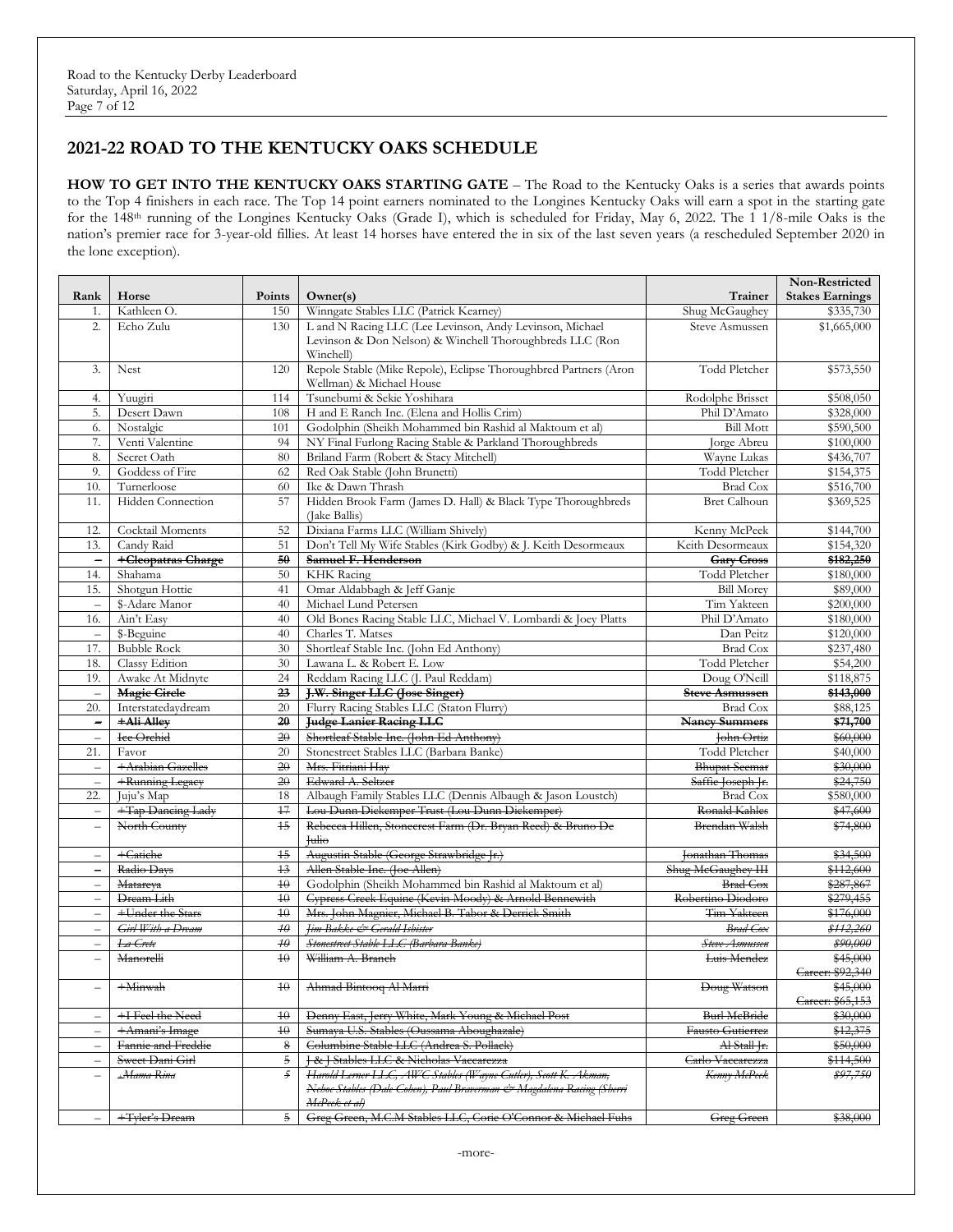### **2021-22 ROAD TO THE KENTUCKY OAKS SCHEDULE**

**HOW TO GET INTO THE KENTUCKY OAKS STARTING GATE** – The Road to the Kentucky Oaks is a series that awards points to the Top 4 finishers in each race. The Top 14 point earners nominated to the Longines Kentucky Oaks will earn a spot in the starting gate for the 148th running of the Longines Kentucky Oaks (Grade I), which is scheduled for Friday, May 6, 2022. The 1 1/8-mile Oaks is the nation's premier race for 3-year-old fillies. At least 14 horses have entered the in six of the last seven years (a rescheduled September 2020 in the lone exception).

|                          |                          |                 |                                                                       |                       | Non-Restricted         |
|--------------------------|--------------------------|-----------------|-----------------------------------------------------------------------|-----------------------|------------------------|
| Rank                     | Horse                    | Points          | Owner(s)                                                              | Trainer               | <b>Stakes Earnings</b> |
| 1.                       | Kathleen O.              | 150             | Winngate Stables LLC (Patrick Kearney)                                | Shug McGaughey        | \$335,730              |
| 2.                       | Echo Zulu                | 130             | L and N Racing LLC (Lee Levinson, Andy Levinson, Michael              | Steve Asmussen        | \$1,665,000            |
|                          |                          |                 | Levinson & Don Nelson) & Winchell Thoroughbreds LLC (Ron              |                       |                        |
|                          |                          |                 | Winchell)                                                             |                       |                        |
| 3.                       | Nest                     | 120             | Repole Stable (Mike Repole), Eclipse Thoroughbred Partners (Aron      | Todd Pletcher         | \$573,550              |
|                          |                          |                 | Wellman) & Michael House                                              |                       |                        |
| 4.                       | Yuugiri                  | 114             | Tsunebumi & Sekie Yoshihara                                           | Rodolphe Brisset      | \$508,050              |
| 5.                       | Desert Dawn              | 108             | H and E Ranch Inc. (Elena and Hollis Crim)                            | Phil D'Amato          | \$328,000              |
| 6.                       | Nostalgic                | 101             | Godolphin (Sheikh Mohammed bin Rashid al Maktoum et al)               | <b>Bill Mott</b>      | \$590,500              |
| 7.                       | Venti Valentine          | 94              | NY Final Furlong Racing Stable & Parkland Thoroughbreds               | Jorge Abreu           | \$100,000              |
| 8.                       | Secret Oath              | 80              | Briland Farm (Robert & Stacy Mitchell)                                | Wayne Lukas           | \$436,707              |
| 9.                       | Goddess of Fire          | 62              | Red Oak Stable (John Brunetti)                                        | Todd Pletcher         | \$154,375              |
| 10.                      | Turnerloose              | 60              | Ike & Dawn Thrash                                                     | <b>Brad Cox</b>       | \$516,700              |
| 11.                      | <b>Hidden</b> Connection | 57              | Hidden Brook Farm (James D. Hall) & Black Type Thoroughbreds          | <b>Bret Calhoun</b>   | \$369,525              |
|                          |                          |                 | (Jake Ballis)                                                         |                       |                        |
| 12.                      | Cocktail Moments         | 52              | Dixiana Farms LLC (William Shively)                                   | Kenny McPeek          | \$144,700              |
|                          |                          | 51              |                                                                       |                       |                        |
| 13.                      | Candy Raid               |                 | Don't Tell My Wife Stables (Kirk Godby) & J. Keith Desormeaux         | Keith Desormeaux      | \$154,320              |
| $\overline{\phantom{0}}$ | +Cleopatras Charge       | 50              | Samuel F. Henderson                                                   | <b>Gary Cross</b>     | \$182,250              |
| 14.                      | Shahama                  | 50              | <b>KHK</b> Racing                                                     | Todd Pletcher         | \$180,000              |
| 15.                      | Shotgun Hottie           | 41              | Omar Aldabbagh & Jeff Ganje                                           | <b>Bill Morey</b>     | \$89,000               |
|                          | \$-Adare Manor           | 40              | Michael Lund Petersen                                                 | Tim Yakteen           | \$200,000              |
| 16.                      | Ain't Easy               | 40              | Old Bones Racing Stable LLC, Michael V. Lombardi & Joey Platts        | Phil D'Amato          | \$180,000              |
| $\overline{\phantom{m}}$ | \$-Beguine               | 40              | Charles T. Matses                                                     | Dan Peitz             | \$120,000              |
| 17.                      | <b>Bubble Rock</b>       | 30              | Shortleaf Stable Inc. (John Ed Anthony)                               | <b>Brad Cox</b>       | \$237,480              |
| 18.                      | Classy Edition           | 30              | Lawana L. & Robert E. Low                                             | Todd Pletcher         | \$54,200               |
| 19.                      | Awake At Midnyte         | 24              | Reddam Racing LLC (J. Paul Reddam)                                    | Doug O'Neill          | \$118,875              |
|                          | <b>Magic Circle</b>      | 23              | J.W. Singer LLC (Jose Singer)                                         | <b>Steve Asmussen</b> | \$143,000              |
| 20.                      | Interstatedaydream       | 20              | Flurry Racing Stables LLC (Staton Flurry)                             | Brad Cox              | \$88,125               |
| $\overline{\phantom{0}}$ | +Ali Alley               | $\overline{20}$ | <b>Judge Lanier Racing LLC</b>                                        | <b>Nancy Summers</b>  | \$71,700               |
| $\overline{\phantom{m}}$ | Ice Orchid               | 20              | Shortleaf Stable Inc. (John Ed Anthony)                               | John Ortiz            | \$60,000               |
| 21.                      | Favor                    | 20              | Stonestreet Stables LLC (Barbara Banke)                               | Todd Pletcher         | \$40,000               |
| $\equiv$                 | +Arabian Gazelles        | $\overline{20}$ | Mrs. Fitriani Hav                                                     | <b>Bhupat Seemar</b>  | \$30,000               |
| $\overline{\phantom{a}}$ | +Running Legacy          | 20              | Edward A. Seltzer                                                     | Saffie Joseph Jr.     | \$24,750               |
| 22.                      | Juju's Map               | 18              | Albaugh Family Stables LLC (Dennis Albaugh & Jason Loustch)           | Brad Cox              | \$580,000              |
| $\overline{\phantom{m}}$ | +Tap Dancing Lady        | $47\,$          | Lou Dunn Dickemper Trust (Lou Dunn Dickemper)                         | Ronald Kahles         | \$47,600               |
|                          | North County             | 15              | Rebecca Hillen, Stonecrest Farm (Dr. Bryan Reed) & Bruno De           | Brendan Walsh         | \$74,800               |
|                          |                          |                 | <b>Tulio</b>                                                          |                       |                        |
| $\equiv$                 | $+$ Catiche              | $+5$            | Augustin Stable (George Strawbridge Jr.)                              | Jonathan Thomas       | \$34,500               |
| $\overline{\phantom{0}}$ | Radio Days               | $+3$            | Allen Stable Inc. (Joe Allen)                                         | Shug McGaughey HH     | \$112,600              |
| $\overline{\phantom{0}}$ | Matareya                 | 40              | Godolphin (Sheikh Mohammed bin Rashid al Maktoum et al)               | <b>Brad Cox</b>       | \$287,867              |
| $\overline{\phantom{m}}$ | Dream Lith               | 40              | Cypress Creek Equine (Kevin Moody) & Arnold Bennewith                 | Robertino Diodoro     | \$279,455              |
|                          | +Under the Stars         | $4\theta$       |                                                                       | Tim Yakteen           | \$176,000              |
| $\overline{\phantom{0}}$ |                          |                 | Mrs. John Magnier, Michael B. Tabor & Derrick Smith                   |                       | \$112,260              |
| $\overline{\phantom{0}}$ | Girl With a Dream        | $4\theta$       | Jim Bakke & Gerald Isbister                                           | <b>Brad</b> Cox       |                        |
| $\overline{\phantom{0}}$ | La Crete                 | $4\theta$       | Stonestreet Stable LLC (Barbara Banke)                                | Steve Asmussen        | \$90,000               |
|                          | Manorelli                | $4\theta$       | William A. Branch                                                     | Luis Mendez           | \$45,000               |
|                          |                          |                 |                                                                       |                       | Career: \$92,340       |
|                          | $+$ Minwah               | 40              | Ahmad Bintooq Al Marri                                                | Doug Watson           | \$45,000               |
|                          |                          |                 |                                                                       |                       | Career: \$65,153       |
| $\qquad \qquad$          | +I Feel the Need         | 40              | Denny East, Jerry White, Mark Young & Michael Post                    | <b>Burl McBride</b>   | \$30,000               |
| $\overline{\phantom{0}}$ | +Amani's Image           | $4\theta$       | Sumaya U.S. Stables (Oussama Aboughazale)                             | Fausto Gutierrez      | \$12,375               |
| $\qquad \qquad -$        | Fannie and Freddie       | 8               | Columbine Stable LLC (Andrea S. Pollack)                              | Al-Stall Jr.          | \$50,000               |
| Ē,                       | Sweet Dani Girl          | $\mathfrak s$   | J & J Stables LLC & Nicholas Vaccarezza                               | Carlo Vaccarezza      | \$114,500              |
|                          | +Mama Rina               | $\mathfrak{F}$  | Harold Lerner LLC, AWC Stables (Wayne Cutler), Scott K. Akman,        | Kenny McPeek          | \$97,750               |
|                          |                          |                 | Nehoc Stables (Dale Cohen), Paul Braverman & Magdalena Racing (Sherri |                       |                        |
|                          |                          |                 | McPeek et al)                                                         |                       |                        |
|                          | +Tyler's Dream           | 5               | Greg Green, M.C.M Stables LLC, Corie O'Connor & Michael Fuhs          | <b>Greg Green</b>     | \$38,000               |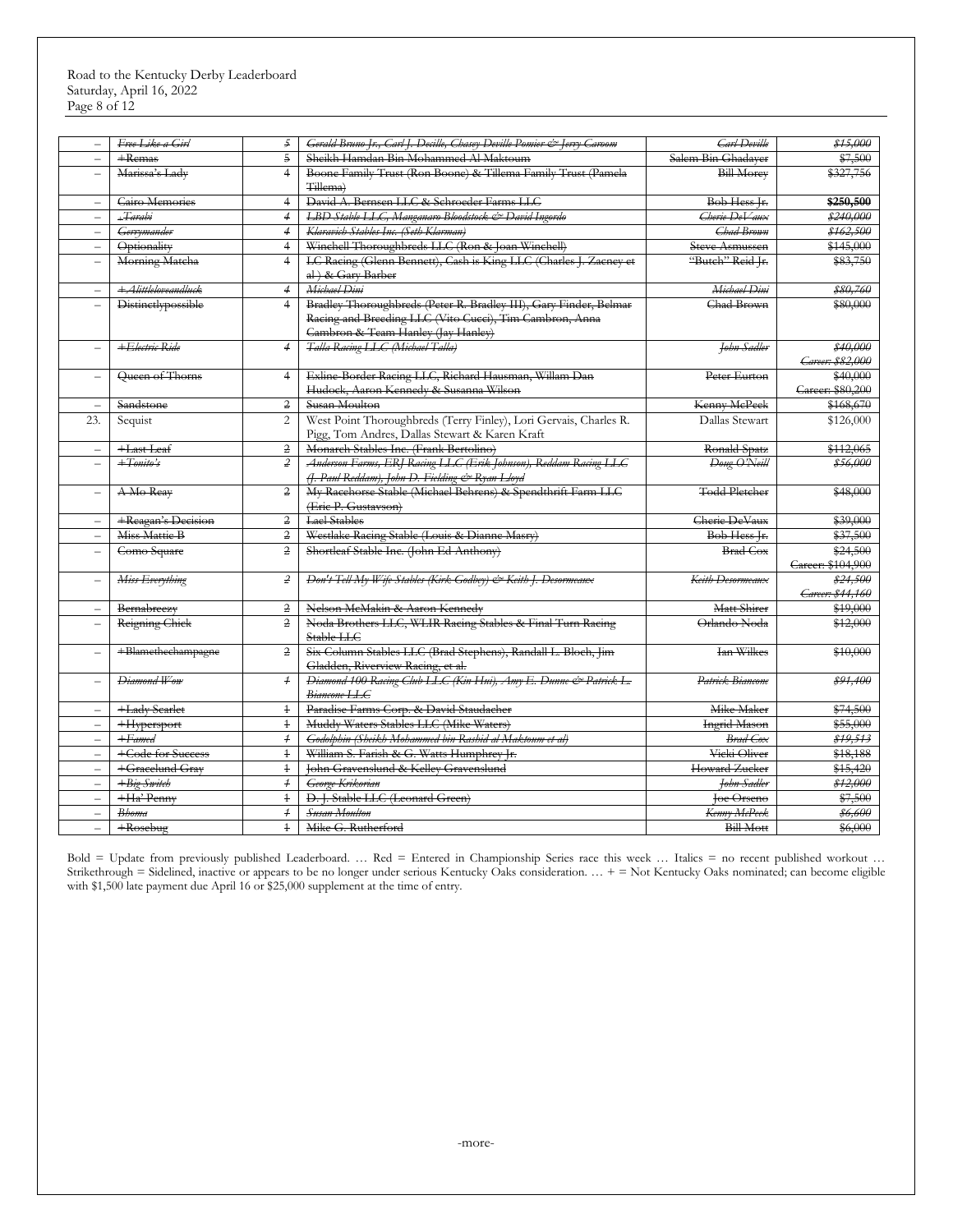#### Road to the Kentucky Derby Leaderboard Saturday, April 16, 2022 Page 8 of 12

| $\overline{\phantom{0}}$ | Free Like a Girl          | 5              | Gerald Bruno Jr., Carl J. Decille, Chasey Deville Pomier & Jerry Caroom                                                                                                | <b>Carl Deville</b>   | \$15,000                      |
|--------------------------|---------------------------|----------------|------------------------------------------------------------------------------------------------------------------------------------------------------------------------|-----------------------|-------------------------------|
| $\equiv$                 | $+$ Remas                 | $\overline{5}$ | Sheikh Hamdan Bin Mohammed Al Maktoum                                                                                                                                  | Salem Bin Ghadaver    | \$7,500                       |
|                          | Marissa's Lady            | $\overline{4}$ | Boone Family Trust (Ron Boone) & Tillema Family Trust (Pamela<br>Tillema)                                                                                              | <b>Bill Morey</b>     | \$327,756                     |
| $\equiv$                 | Cairo Memories            | $\overline{4}$ | David A. Bernsen LLC & Schroeder Farms LLC                                                                                                                             | Bob Hess Jr.          | \$250,500                     |
| $\overline{\phantom{0}}$ | +Tarabi                   | $\overline{4}$ | LBD Stable LLC, Manganaro Bloodstock & David Ingordo                                                                                                                   | Cherie DeVaux         | \$240,000                     |
| $\overline{\phantom{0}}$ | Gerrymander               | $\overline{4}$ | Klaravich Stables Inc. (Seth Klarman)                                                                                                                                  | Chad Brown            | \$162,500                     |
| $\overline{\phantom{0}}$ | Optionality               | $\overline{4}$ | Winchell Thoroughbreds LLC (Ron & Joan Winchell)                                                                                                                       | <b>Steve Asmussen</b> | \$145,000                     |
|                          | Morning Matcha            | $\overline{4}$ | LC Racing (Glenn Bennett), Cash is King LLC (Charles J. Zacney et<br>al ) & Gary Barber                                                                                | "Butch" Reid Jr.      | \$83,750                      |
| $\overline{\phantom{m}}$ | +Alittleloveandluck       | $\overline{4}$ | Michael Dini                                                                                                                                                           | Michael Dini          | \$80,760                      |
| $\equiv$                 | <b>Distinctlypossible</b> | $\overline{4}$ | Bradley Thoroughbreds (Peter R. Bradley III), Gary Finder, Belmar<br>Racing and Breeding LLC (Vito Cucci), Tim Cambron, Anna<br>Cambron & Team Hanley (Jay Hanley)     | Chad Brown            | \$80,000                      |
| $\overline{\phantom{a}}$ | +Electric Ride            | $\overline{4}$ | Talla Racing LLC (Michael Talla)                                                                                                                                       | John Sadler           | \$40,000<br>Career: \$82,000  |
| $\overline{\phantom{0}}$ | Queen of Thorns           | $\overline{4}$ | Exline-Border Racing LLC, Richard Hausman, Willam Dan<br>Hudock, Aaron Kennedy & Susanna Wilson                                                                        | Peter Eurton          | \$40,000<br>Career: \$80,200  |
|                          | Sandstone                 | 2              | Susan Moulton                                                                                                                                                          | Kenny McPeek          | \$168,670                     |
| 23.                      | Sequist                   | $\overline{2}$ | West Point Thoroughbreds (Terry Finley), Lori Gervais, Charles R.<br>Pigg, Tom Andres, Dallas Stewart & Karen Kraft                                                    | Dallas Stewart        | \$126,000                     |
|                          | +Last Leaf                | $\overline{2}$ | Monarch Stables Inc. (Frank Bertolino)                                                                                                                                 | Ronald Spatz          | \$112,065                     |
| $\overline{\phantom{0}}$ | $+Tomito's$               | $\overline{2}$ | Anderson Farms, ERJ Racing LLC (Erik Johnson), Reddam Racing LLC<br>(J. Paul Reddam), John D. Fielding & Ryan Lloyd                                                    | Doug O'Neill          | \$56,000                      |
|                          | A-Mo-Reay                 | $\overline{2}$ | My Racehorse Stable (Michael Behrens) & Spendthrift Farm LLC<br>(Eric P. Gustavson)                                                                                    | <b>Todd Pletcher</b>  | \$48,000                      |
| $\equiv$                 | +Reagan's Decision        | $\overline{2}$ | <b>Lael Stables</b>                                                                                                                                                    | Cherie DeVaux         | \$39,000                      |
| $\overline{\phantom{m}}$ | Miss Mattie B             | 2              | Westlake Racing Stable (Louis & Dianne Masry)                                                                                                                          | Bob Hess Jr.          | \$37,500                      |
| $\equiv$                 | Como Square               | $\overline{2}$ | Shortleaf Stable Inc. (John Ed Anthony)                                                                                                                                | <b>Brad Cox</b>       | \$24,500<br>Career: \$104,900 |
|                          | Miss Everything           | $\mathcal{Z}$  | Don't Tell My Wife Stables (Kirk Godbey) & Keith J. Desormeaux                                                                                                         | Keith Desormeaux      | \$24,500<br>Career: \$44,160  |
|                          | Bernabreezy               | $\overline{2}$ | Nelson McMakin & Aaron Kennedy                                                                                                                                         | Matt Shirer           | \$19,000                      |
|                          | Reigning Chick            | $\overline{2}$ | Noda Brothers LLC, WLIR Racing Stables & Final Turn Racing<br>Stable LLC                                                                                               | Orlando Noda          | \$12,000                      |
| $\qquad \qquad -$        | +Blamethechampagne        | $\overline{2}$ | Six Column Stables LLC (Brad Stephens), Randall L. Bloch, Jim<br>Gladden, Riverview Raeing, et al.<br>Diamond 100 Raeing Club LLC (Kin Hui), Amy E. Dunne & Patrick L. | <b>Ian Wilkes</b>     | \$10,000                      |
| $\overline{\phantom{0}}$ | Diamond Wow               | $\overline{1}$ | Biancone LLC                                                                                                                                                           | Patrick Biancone      | \$91,400                      |
| $\overline{\phantom{0}}$ | +Lady Searlet             | $\ddagger$     | Paradise Farms Corp. & David Staudacher                                                                                                                                | Mike Maker            | \$74,500                      |
| $\equiv$                 | +Hypersport               | $\ddagger$     | Muddy Waters Stables LLC (Mike Waters)                                                                                                                                 | <b>Ingrid Mason</b>   | \$55,000                      |
| $\overline{\phantom{0}}$ | $+ Famed$                 | $\overline{1}$ | Godolphin (Sheikh Mohammed bin Rashid al Maktoum et al)                                                                                                                | <b>Brad</b> Cox       | \$19,513                      |
| $\frac{1}{2}$            | +Code for Success         | $\ddagger$     | William S. Farish & G. Watts Humphrey Jr.                                                                                                                              | Vicki Oliver          | \$18,188                      |
| $\overline{\phantom{0}}$ | +Gracelund Gray           | $\ddagger$     | John Gravenslund & Kelley Gravenslund                                                                                                                                  | Howard Zucker         | \$15,420                      |
| $\equiv$                 | $+Big$ Switch             | $\overline{1}$ | George Krikorian                                                                                                                                                       | <b>John Sadler</b>    | \$12,000                      |
| $\overline{\phantom{m}}$ | +Ha' Penny                | $\ddagger$     | D. J. Stable LLC (Leonard Green)                                                                                                                                       | <b>Joe Orseno</b>     | \$7,500                       |
| $\equiv$                 | <b>Bhoma</b>              | $\overline{f}$ | <b>Susan Moulton</b>                                                                                                                                                   | Kenny McPeek          | \$6,600                       |
| $\equiv$                 | $+$ Rosebug               | $\ddagger$     | Mike G. Rutherford                                                                                                                                                     | <b>Bill Mott</b>      | \$6,000                       |

Bold = Update from previously published Leaderboard. … Red = Entered in Championship Series race this week … Italics = no recent published workout … Strikethrough = Sidelined, inactive or appears to be no longer under serious Kentucky Oaks consideration.  $\ldots$  + = Not Kentucky Oaks nominated; can become eligible with \$1,500 late payment due April 16 or \$25,000 supplement at the time of entry.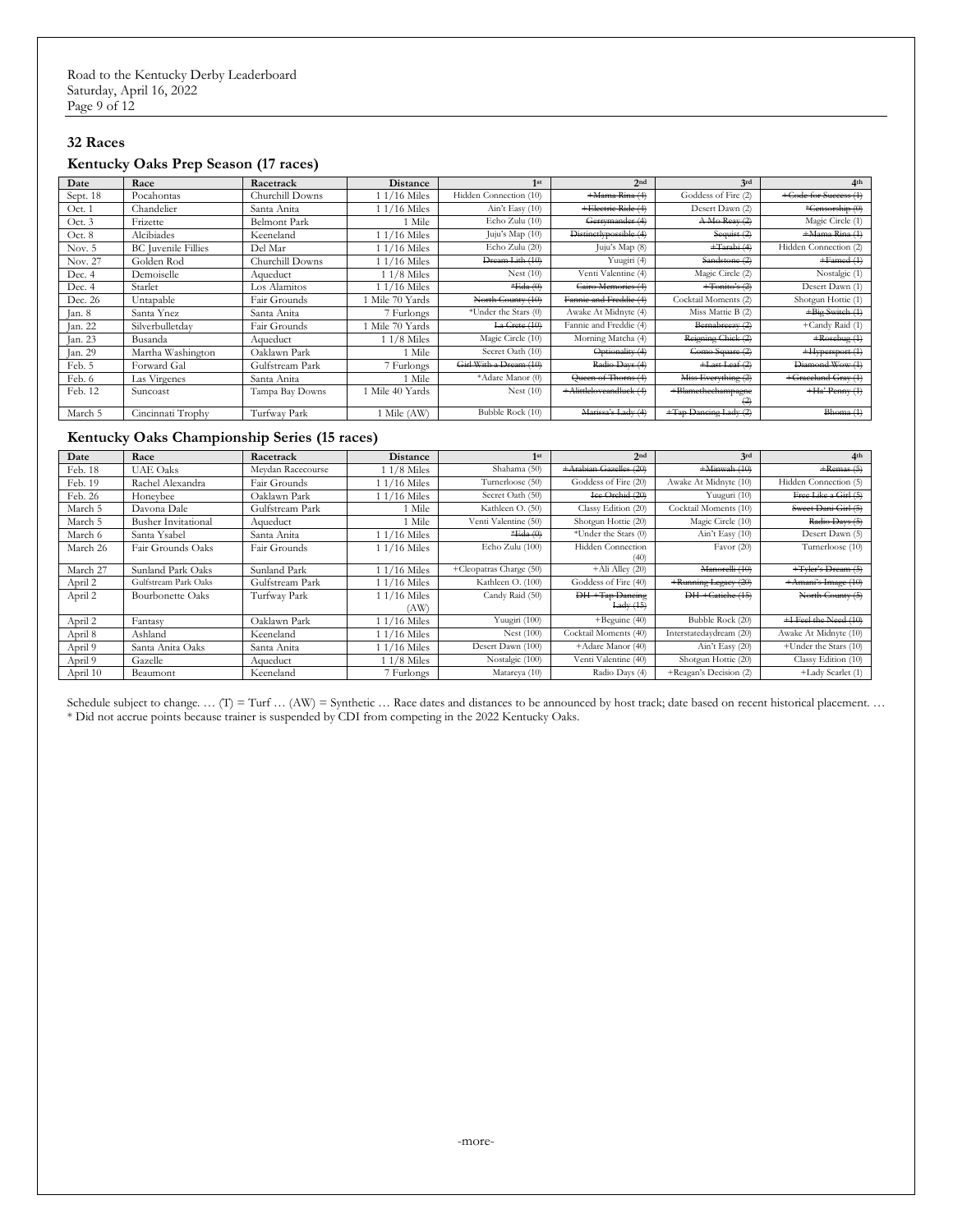#### **32 Races**

#### **Kentucky Oaks Prep Season (17 races)**

| Date     | Race                       | Racetrack           | Distance        | 1 <sup>st</sup>        | 2nd                     | 3rd                       | 4 <sup>th</sup>       |
|----------|----------------------------|---------------------|-----------------|------------------------|-------------------------|---------------------------|-----------------------|
| Sept. 18 | Pocahontas                 | Churchill Downs     | $1/16$ Miles    | Hidden Connection (10) | +Mama Rina (4)          | Goddess of Fire (2)       | +Gode for Success (1) |
| Oct. 1   | Chandelier                 | Santa Anita         | $1/16$ Miles    | Ain't Easy (10)        | +Electric Ride (4)      | Desert Dawn (2)           | *Censorship (0)       |
| Oct. 3   | Frizette                   | <b>Belmont Park</b> | ! Mile          | Echo Zulu (10)         | Gerrymander (4)         | A Mo Reav (2)             | Magic Circle (1)      |
| Oct. 8   | Alcibiades                 | Keeneland           | $1/16$ Miles    | Juju's Map (10)        | Distinctlypossible (4)  | Sequist (2)               | +Mama Rina (1)        |
| Nov. 5   | <b>BC</b> Juvenile Fillies | Del Mar             | $1/16$ Miles    | Echo Zulu (20)         | Juju's Map (8)          | $+$ Tarabi $(4)$          | Hidden Connection (2) |
| Nov. 27  | Golden Rod                 | Churchill Downs     | $1/16$ Miles    | Dream Lith (10)        | Yuugiri (4)             | Sandstone (2)             | $+Famed(1)$           |
| Dec. 4   | Demoiselle                 | Aqueduct            | 1 1/8 Miles     | Nest $(10)$            | Venti Valentine (4)     | Magic Circle (2)          | Nostalgic (1)         |
| Dec. 4   | Starlet                    | Los Alamitos        | $1/16$ Miles    | $*Eda(0)$              | Cairo Memories (4)      | $+$ Tonito's $(2)$        | Desert Dawn (1)       |
| Dec. 26  | Untapable                  | Fair Grounds        | 1 Mile 70 Yards | North County (10)      | Fannie and Freddie (4)  | Cocktail Moments (2)      | Shotgun Hottie (1)    |
| Jan. 8   | Santa Ynez                 | Santa Anita         | 7 Furlongs      | *Under the Stars (0)   | Awake At Midnyte (4)    | Miss Mattie B (2)         | +Big Switch (1)       |
| Jan. 22  | Silverbulletday            | Fair Grounds        | 1 Mile 70 Yards | La Crete (10)          | Fannie and Freddie (4)  | Bernabreezy (2)           | +Candy Raid (1)       |
| Jan. 23  | Busanda                    | Aqueduct            | $11/8$ Miles    | Magic Circle (10)      | Morning Matcha (4)      | Reigning Chick (2)        | $+$ Rosebug $(4)$     |
| Jan. 29  | Martha Washington          | Oaklawn Park        | 1 Mile          | Secret Oath (10)       | Optionality (4)         | Como Square (2)           | +Hypersport (1)       |
| Feb. 5   | Forward Gal                | Gulfstream Park     | 7 Furlongs      | Girl With a Dream (10) | Radio Days (4)          | $+$ Last Leaf $(2)$       | Diamond Wow (1)       |
| Feb. 6   | Las Virgenes               | Santa Anita         | 1 Mile          | *Adare Manor (0)       | Queen of Thorns (4)     | Miss Everything (2)       | +Gracelund Gray (1)   |
| Feb. 12  | Suncoast                   | Tampa Bay Downs     | 1 Mile 40 Yards | Nest $(10)$            | +Alittleloveandluck (4) | +Blametheehampagne<br>(2) | $+Ha'$ Penny $(1)$    |
| March 5  | Cincinnati Trophy          | Turfway Park        | 1 Mile (AW)     | Bubble Rock (10)       | Marissa's Lady (4)      | +Tap Dancing Lady (2)     | Bhoma(1)              |

#### **Kentucky Oaks Championship Series (15 races)**

| Date     | Race                       | Racetrack         | <b>Distance</b> | 1 <sup>st</sup>         | 2nd                      | 3rd                     | 4 <sup>th</sup>       |
|----------|----------------------------|-------------------|-----------------|-------------------------|--------------------------|-------------------------|-----------------------|
| Feb. 18  | <b>UAE</b> Oaks            | Meydan Racecourse | $11/8$ Miles    | Shahama (50)            | +Arabian Gazelles (20)   | $+$ Minwah $(10)$       | $+$ Remas $(5)$       |
| Feb. 19  | Rachel Alexandra           | Fair Grounds      | $1/16$ Miles    | Turnerloose (50)        | Goddess of Fire (20)     | Awake At Midnyte (10)   | Hidden Connection (5) |
| Feb. 26  | Honeybee                   | Oaklawn Park      | $1/16$ Miles    | Secret Oath (50)        | Ice Orchid (20)          | Yuuguri (10)            | Free Like a Girl (5)  |
| March 5  | Davona Dale                | Gulfstream Park   | 1 Mile          | Kathleen O. (50)        | Classy Edition (20)      | Cocktail Moments (10)   | Sweet Dani Girl (5)   |
| March 5  | <b>Busher Invitational</b> | Aqueduct          | 1 Mile          | Venti Valentine (50)    | Shotgun Hottie (20)      | Magic Circle (10)       | Radio Days (5)        |
| March 6  | Santa Ysabel               | Santa Anita       | $1/16$ Miles    | $*Eda(0)$               | *Under the Stars (0)     | Ain't Easy (10)         | Desert Dawn (5)       |
| March 26 | Fair Grounds Oaks          | Fair Grounds      | $1/16$ Miles    | Echo Zulu (100)         | <b>Hidden Connection</b> | Favor $(20)$            | Turnerloose (10)      |
|          |                            |                   |                 |                         | (40)                     |                         |                       |
| March 27 | Sunland Park Oaks          | Sunland Park      | $1/16$ Miles    | +Cleopatras Charge (50) | $+Ali$ Alley $(20)$      | Manorelli (10)          | +Tyler's Dream (5)    |
| April 2  | Gulfstream Park Oaks       | Gulfstream Park   | 1 1/16 Miles    | Kathleen O. (100)       | Goddess of Fire (40)     | +Running Legacy (20)    | +Amani's Image (10)   |
| April 2  | <b>Bourbonette Oaks</b>    | Turfway Park      | 1 1/16 Miles    | Candy Raid (50)         | DH-+Tap Dancing          | DH-+Catiche (15)        | North County (5)      |
|          |                            |                   | (AW             |                         | Lady(15)                 |                         |                       |
| April 2  | Fantasy                    | Oaklawn Park      | $1/16$ Miles    | Yuugiri (100)           | $+$ Beguine (40)         | Bubble Rock (20)        | +I Feel the Need (10) |
| April 8  | Ashland                    | Keeneland         | $1/16$ Miles    | Nest $(100)$            | Cocktail Moments (40)    | Interstatedaydream (20) | Awake At Midnyte (10) |
| April 9  | Santa Anita Oaks           | Santa Anita       | $1/16$ Miles    | Desert Dawn (100)       | +Adare Manor (40)        | Ain't Easy (20)         | +Under the Stars (10) |
| April 9  | Gazelle                    | Aqueduct          | $11/8$ Miles    | Nostalgic (100)         | Venti Valentine (40)     | Shotgun Hottie (20)     | Classy Edition (10)   |
| April 10 | Beaumont                   | Keeneland         | 7 Furlongs      | Matareya (10)           | Radio Days (4)           | +Reagan's Decision (2)  | +Lady Scarlet (1)     |

Schedule subject to change. ... (T) = Turf ... (AW) = Synthetic ... Race dates and distances to be announced by host track; date based on recent historical placement. ... \* Did not accrue points because trainer is suspended by CDI from competing in the 2022 Kentucky Oaks.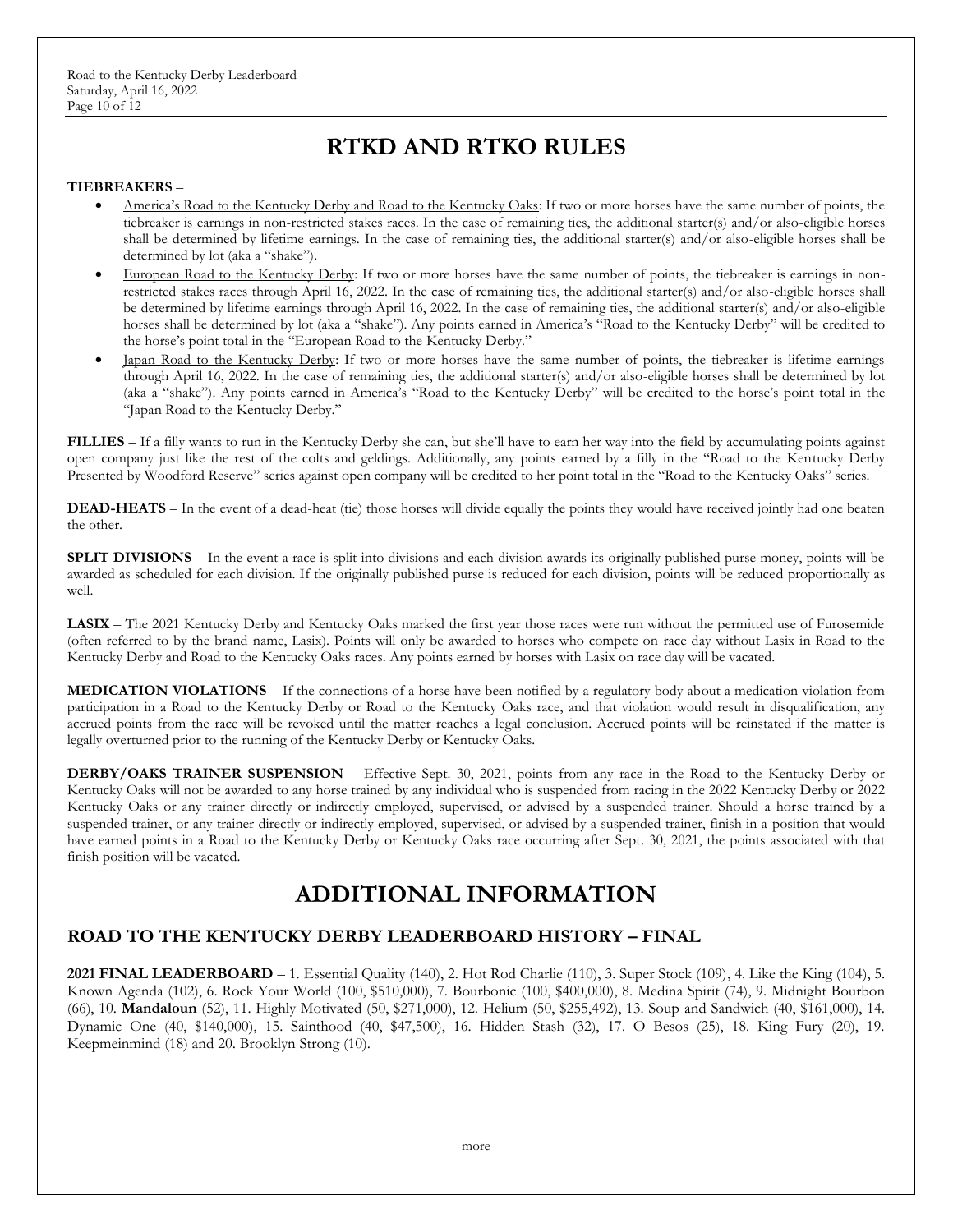# **RTKD AND RTKO RULES**

#### **TIEBREAKERS** –

- America's Road to the Kentucky Derby and Road to the Kentucky Oaks: If two or more horses have the same number of points, the tiebreaker is earnings in non-restricted stakes races. In the case of remaining ties, the additional starter(s) and/or also-eligible horses shall be determined by lifetime earnings. In the case of remaining ties, the additional starter(s) and/or also-eligible horses shall be determined by lot (aka a "shake").
- European Road to the Kentucky Derby: If two or more horses have the same number of points, the tiebreaker is earnings in nonrestricted stakes races through April 16, 2022. In the case of remaining ties, the additional starter(s) and/or also-eligible horses shall be determined by lifetime earnings through April 16, 2022. In the case of remaining ties, the additional starter(s) and/or also-eligible horses shall be determined by lot (aka a "shake"). Any points earned in America's "Road to the Kentucky Derby" will be credited to the horse's point total in the "European Road to the Kentucky Derby."
- Japan Road to the Kentucky Derby: If two or more horses have the same number of points, the tiebreaker is lifetime earnings through April 16, 2022. In the case of remaining ties, the additional starter(s) and/or also-eligible horses shall be determined by lot (aka a "shake"). Any points earned in America's "Road to the Kentucky Derby" will be credited to the horse's point total in the "Japan Road to the Kentucky Derby."

**FILLIES** – If a filly wants to run in the Kentucky Derby she can, but she'll have to earn her way into the field by accumulating points against open company just like the rest of the colts and geldings. Additionally, any points earned by a filly in the "Road to the Kentucky Derby Presented by Woodford Reserve" series against open company will be credited to her point total in the "Road to the Kentucky Oaks" series.

**DEAD-HEATS** – In the event of a dead-heat (tie) those horses will divide equally the points they would have received jointly had one beaten the other.

**SPLIT DIVISIONS** – In the event a race is split into divisions and each division awards its originally published purse money, points will be awarded as scheduled for each division. If the originally published purse is reduced for each division, points will be reduced proportionally as well.

**LASIX** – The 2021 Kentucky Derby and Kentucky Oaks marked the first year those races were run without the permitted use of Furosemide (often referred to by the brand name, Lasix). Points will only be awarded to horses who compete on race day without Lasix in Road to the Kentucky Derby and Road to the Kentucky Oaks races. Any points earned by horses with Lasix on race day will be vacated.

**MEDICATION VIOLATIONS** – If the connections of a horse have been notified by a regulatory body about a medication violation from participation in a Road to the Kentucky Derby or Road to the Kentucky Oaks race, and that violation would result in disqualification, any accrued points from the race will be revoked until the matter reaches a legal conclusion. Accrued points will be reinstated if the matter is legally overturned prior to the running of the Kentucky Derby or Kentucky Oaks.

**DERBY/OAKS TRAINER SUSPENSION** – Effective Sept. 30, 2021, points from any race in the Road to the Kentucky Derby or Kentucky Oaks will not be awarded to any horse trained by any individual who is suspended from racing in the 2022 Kentucky Derby or 2022 Kentucky Oaks or any trainer directly or indirectly employed, supervised, or advised by a suspended trainer. Should a horse trained by a suspended trainer, or any trainer directly or indirectly employed, supervised, or advised by a suspended trainer, finish in a position that would have earned points in a Road to the Kentucky Derby or Kentucky Oaks race occurring after Sept. 30, 2021, the points associated with that finish position will be vacated.

# **ADDITIONAL INFORMATION**

## **ROAD TO THE KENTUCKY DERBY LEADERBOARD HISTORY – FINAL**

**2021 FINAL LEADERBOARD** – 1. Essential Quality (140), 2. Hot Rod Charlie (110), 3. Super Stock (109), 4. Like the King (104), 5. Known Agenda (102), 6. Rock Your World (100, \$510,000), 7. Bourbonic (100, \$400,000), 8. Medina Spirit (74), 9. Midnight Bourbon (66), 10. **Mandaloun** (52), 11. Highly Motivated (50, \$271,000), 12. Helium (50, \$255,492), 13. Soup and Sandwich (40, \$161,000), 14. Dynamic One (40, \$140,000), 15. Sainthood (40, \$47,500), 16. Hidden Stash (32), 17. O Besos (25), 18. King Fury (20), 19. Keepmeinmind (18) and 20. Brooklyn Strong (10).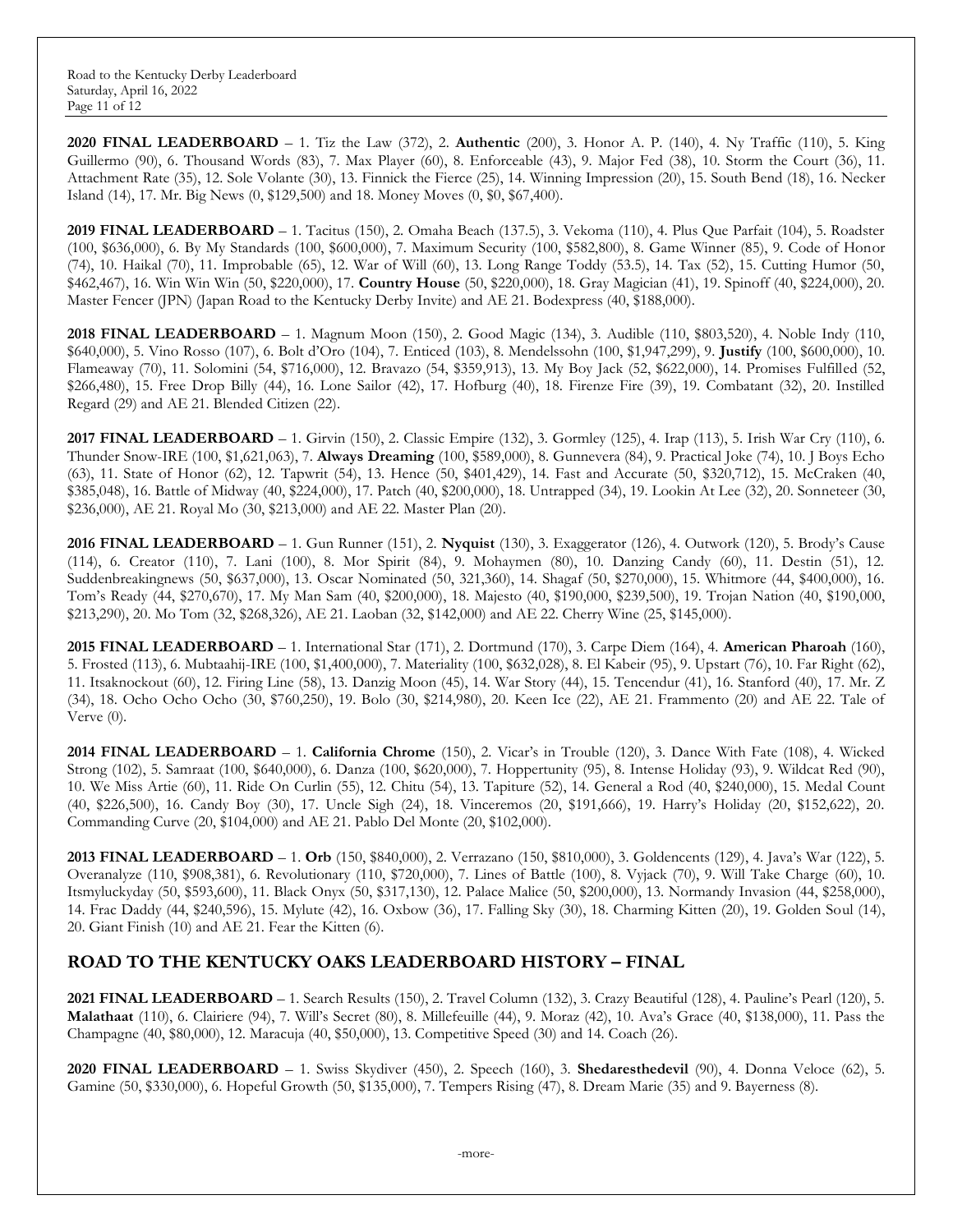**2020 FINAL LEADERBOARD** – 1. Tiz the Law (372), 2. **Authentic** (200), 3. Honor A. P. (140), 4. Ny Traffic (110), 5. King Guillermo (90), 6. Thousand Words (83), 7. Max Player (60), 8. Enforceable (43), 9. Major Fed (38), 10. Storm the Court (36), 11. Attachment Rate (35), 12. Sole Volante (30), 13. Finnick the Fierce (25), 14. Winning Impression (20), 15. South Bend (18), 16. Necker Island (14), 17. Mr. Big News (0, \$129,500) and 18. Money Moves (0, \$0, \$67,400).

**2019 FINAL LEADERBOARD** – 1. Tacitus (150), 2. Omaha Beach (137.5), 3. Vekoma (110), 4. Plus Que Parfait (104), 5. Roadster (100, \$636,000), 6. By My Standards (100, \$600,000), 7. Maximum Security (100, \$582,800), 8. Game Winner (85), 9. Code of Honor (74), 10. Haikal (70), 11. Improbable (65), 12. War of Will (60), 13. Long Range Toddy (53.5), 14. Tax (52), 15. Cutting Humor (50, \$462,467), 16. Win Win Win (50, \$220,000), 17. **Country House** (50, \$220,000), 18. Gray Magician (41), 19. Spinoff (40, \$224,000), 20. Master Fencer (JPN) (Japan Road to the Kentucky Derby Invite) and AE 21. Bodexpress (40, \$188,000).

**2018 FINAL LEADERBOARD** – 1. Magnum Moon (150), 2. Good Magic (134), 3. Audible (110, \$803,520), 4. Noble Indy (110, \$640,000), 5. Vino Rosso (107), 6. Bolt d'Oro (104), 7. Enticed (103), 8. Mendelssohn (100, \$1,947,299), 9. **Justify** (100, \$600,000), 10. Flameaway (70), 11. Solomini (54, \$716,000), 12. Bravazo (54, \$359,913), 13. My Boy Jack (52, \$622,000), 14. Promises Fulfilled (52, \$266,480), 15. Free Drop Billy (44), 16. Lone Sailor (42), 17. Hofburg (40), 18. Firenze Fire (39), 19. Combatant (32), 20. Instilled Regard (29) and AE 21. Blended Citizen (22).

**2017 FINAL LEADERBOARD** – 1. Girvin (150), 2. Classic Empire (132), 3. Gormley (125), 4. Irap (113), 5. Irish War Cry (110), 6. Thunder Snow-IRE (100, \$1,621,063), 7. **Always Dreaming** (100, \$589,000), 8. Gunnevera (84), 9. Practical Joke (74), 10. J Boys Echo (63), 11. State of Honor (62), 12. Tapwrit (54), 13. Hence (50, \$401,429), 14. Fast and Accurate (50, \$320,712), 15. McCraken (40, \$385,048), 16. Battle of Midway (40, \$224,000), 17. Patch (40, \$200,000), 18. Untrapped (34), 19. Lookin At Lee (32), 20. Sonneteer (30, \$236,000), AE 21. Royal Mo (30, \$213,000) and AE 22. Master Plan (20).

**2016 FINAL LEADERBOARD** – 1. Gun Runner (151), 2. **Nyquist** (130), 3. Exaggerator (126), 4. Outwork (120), 5. Brody's Cause (114), 6. Creator (110), 7. Lani (100), 8. Mor Spirit (84), 9. Mohaymen (80), 10. Danzing Candy (60), 11. Destin (51), 12. Suddenbreakingnews (50, \$637,000), 13. Oscar Nominated (50, 321,360), 14. Shagaf (50, \$270,000), 15. Whitmore (44, \$400,000), 16. Tom's Ready (44, \$270,670), 17. My Man Sam (40, \$200,000), 18. Majesto (40, \$190,000, \$239,500), 19. Trojan Nation (40, \$190,000, \$213,290), 20. Mo Tom (32, \$268,326), AE 21. Laoban (32, \$142,000) and AE 22. Cherry Wine (25, \$145,000).

**2015 FINAL LEADERBOARD** – 1. International Star (171), 2. Dortmund (170), 3. Carpe Diem (164), 4. **American Pharoah** (160), 5. Frosted (113), 6. Mubtaahij-IRE (100, \$1,400,000), 7. Materiality (100, \$632,028), 8. El Kabeir (95), 9. Upstart (76), 10. Far Right (62), 11. Itsaknockout (60), 12. Firing Line (58), 13. Danzig Moon (45), 14. War Story (44), 15. Tencendur (41), 16. Stanford (40), 17. Mr. Z (34), 18. Ocho Ocho Ocho (30, \$760,250), 19. Bolo (30, \$214,980), 20. Keen Ice (22), AE 21. Frammento (20) and AE 22. Tale of Verve (0).

**2014 FINAL LEADERBOARD** – 1. **California Chrome** (150), 2. Vicar's in Trouble (120), 3. Dance With Fate (108), 4. Wicked Strong (102), 5. Samraat (100, \$640,000), 6. Danza (100, \$620,000), 7. Hoppertunity (95), 8. Intense Holiday (93), 9. Wildcat Red (90), 10. We Miss Artie (60), 11. Ride On Curlin (55), 12. Chitu (54), 13. Tapiture (52), 14. General a Rod (40, \$240,000), 15. Medal Count (40, \$226,500), 16. Candy Boy (30), 17. Uncle Sigh (24), 18. Vinceremos (20, \$191,666), 19. Harry's Holiday (20, \$152,622), 20. Commanding Curve (20, \$104,000) and AE 21. Pablo Del Monte (20, \$102,000).

**2013 FINAL LEADERBOARD** – 1. **Orb** (150, \$840,000), 2. Verrazano (150, \$810,000), 3. Goldencents (129), 4. Java's War (122), 5. Overanalyze (110, \$908,381), 6. Revolutionary (110, \$720,000), 7. Lines of Battle (100), 8. Vyjack (70), 9. Will Take Charge (60), 10. Itsmyluckyday (50, \$593,600), 11. Black Onyx (50, \$317,130), 12. Palace Malice (50, \$200,000), 13. Normandy Invasion (44, \$258,000), 14. Frac Daddy (44, \$240,596), 15. Mylute (42), 16. Oxbow (36), 17. Falling Sky (30), 18. Charming Kitten (20), 19. Golden Soul (14), 20. Giant Finish (10) and AE 21. Fear the Kitten (6).

# **ROAD TO THE KENTUCKY OAKS LEADERBOARD HISTORY – FINAL**

**2021 FINAL LEADERBOARD** – 1. Search Results (150), 2. Travel Column (132), 3. Crazy Beautiful (128), 4. Pauline's Pearl (120), 5. **Malathaat** (110), 6. Clairiere (94), 7. Will's Secret (80), 8. Millefeuille (44), 9. Moraz (42), 10. Ava's Grace (40, \$138,000), 11. Pass the Champagne (40, \$80,000), 12. Maracuja (40, \$50,000), 13. Competitive Speed (30) and 14. Coach (26).

**2020 FINAL LEADERBOARD** – 1. Swiss Skydiver (450), 2. Speech (160), 3. **Shedaresthedevil** (90), 4. Donna Veloce (62), 5. Gamine (50, \$330,000), 6. Hopeful Growth (50, \$135,000), 7. Tempers Rising (47), 8. Dream Marie (35) and 9. Bayerness (8).